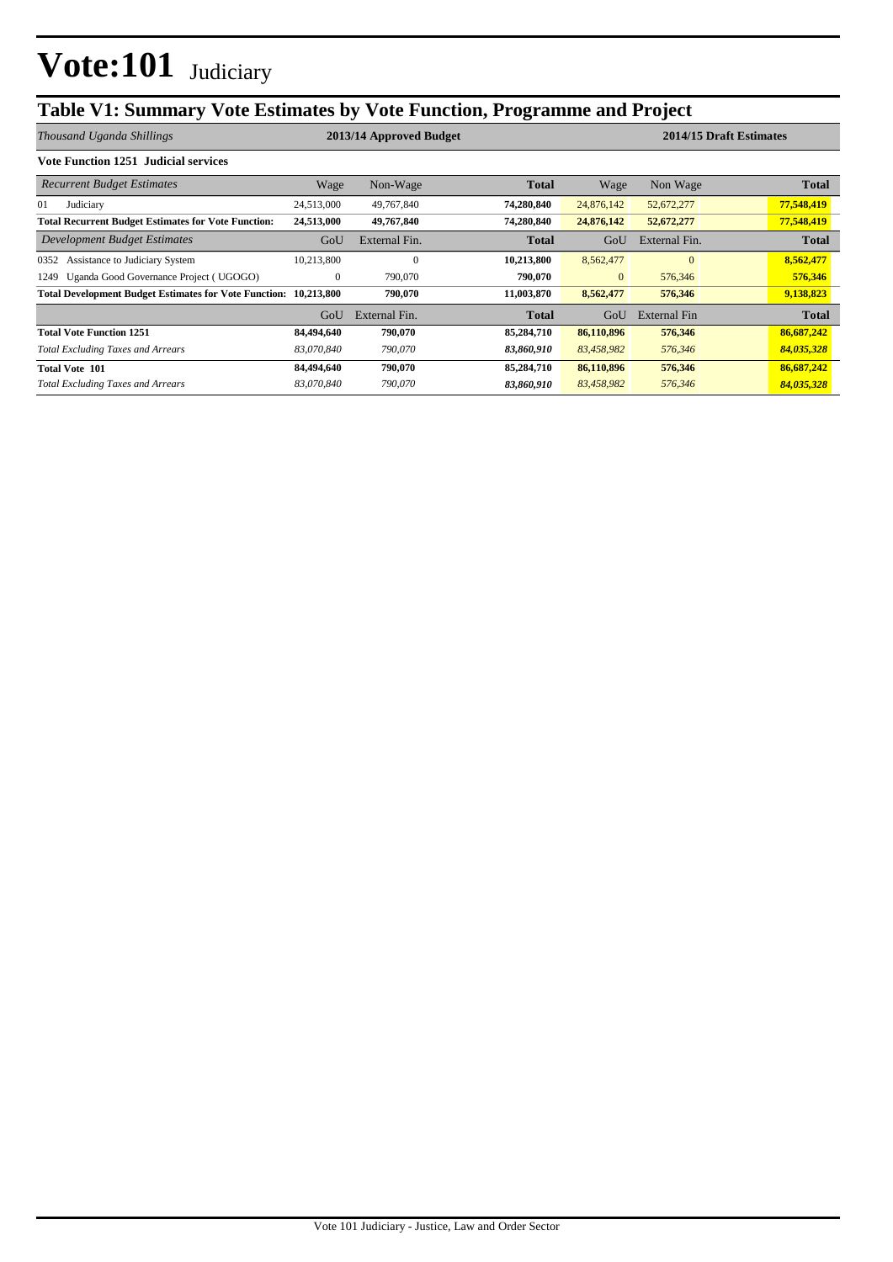## **Table V1: Summary Vote Estimates by Vote Function, Programme and Project**

| Thousand Uganda Shillings                                               |              | 2013/14 Approved Budget |              |              |               | 2014/15 Draft Estimates |
|-------------------------------------------------------------------------|--------------|-------------------------|--------------|--------------|---------------|-------------------------|
| <b>Vote Function 1251 Judicial services</b>                             |              |                         |              |              |               |                         |
| <b>Recurrent Budget Estimates</b>                                       | Wage         | Non-Wage                | <b>Total</b> | Wage         | Non Wage      | Total                   |
| 01<br>Judiciary                                                         | 24,513,000   | 49,767,840              | 74,280,840   | 24,876,142   | 52,672,277    | 77,548,419              |
| <b>Total Recurrent Budget Estimates for Vote Function:</b>              | 24,513,000   | 49,767,840              | 74,280,840   | 24,876,142   | 52,672,277    | 77,548,419              |
| <b>Development Budget Estimates</b>                                     | GoU          | External Fin.           | Total        | GoU          | External Fin. | <b>Total</b>            |
| Assistance to Judiciary System<br>0352                                  | 10,213,800   | $\theta$                | 10,213,800   | 8,562,477    | $\Omega$      | 8,562,477               |
| Uganda Good Governance Project (UGOGO)<br>1249                          | $\mathbf{0}$ | 790,070                 | 790.070      | $\mathbf{0}$ | 576,346       | 576,346                 |
| <b>Total Development Budget Estimates for Vote Function: 10,213,800</b> |              | 790,070                 | 11,003,870   | 8,562,477    | 576,346       | 9,138,823               |
|                                                                         | GoU          | External Fin.           | <b>Total</b> | GoU          | External Fin  | <b>Total</b>            |
| <b>Total Vote Function 1251</b>                                         | 84,494,640   | 790,070                 | 85,284,710   | 86,110,896   | 576,346       | 86,687,242              |
| <b>Total Excluding Taxes and Arrears</b>                                | 83,070,840   | 790,070                 | 83,860,910   | 83,458,982   | 576,346       | 84,035,328              |
| <b>Total Vote 101</b>                                                   | 84,494,640   | 790,070                 | 85,284,710   | 86,110,896   | 576,346       | 86,687,242              |
| <b>Total Excluding Taxes and Arrears</b>                                | 83.070.840   | 790,070                 | 83,860,910   | 83,458,982   | 576,346       | 84,035,328              |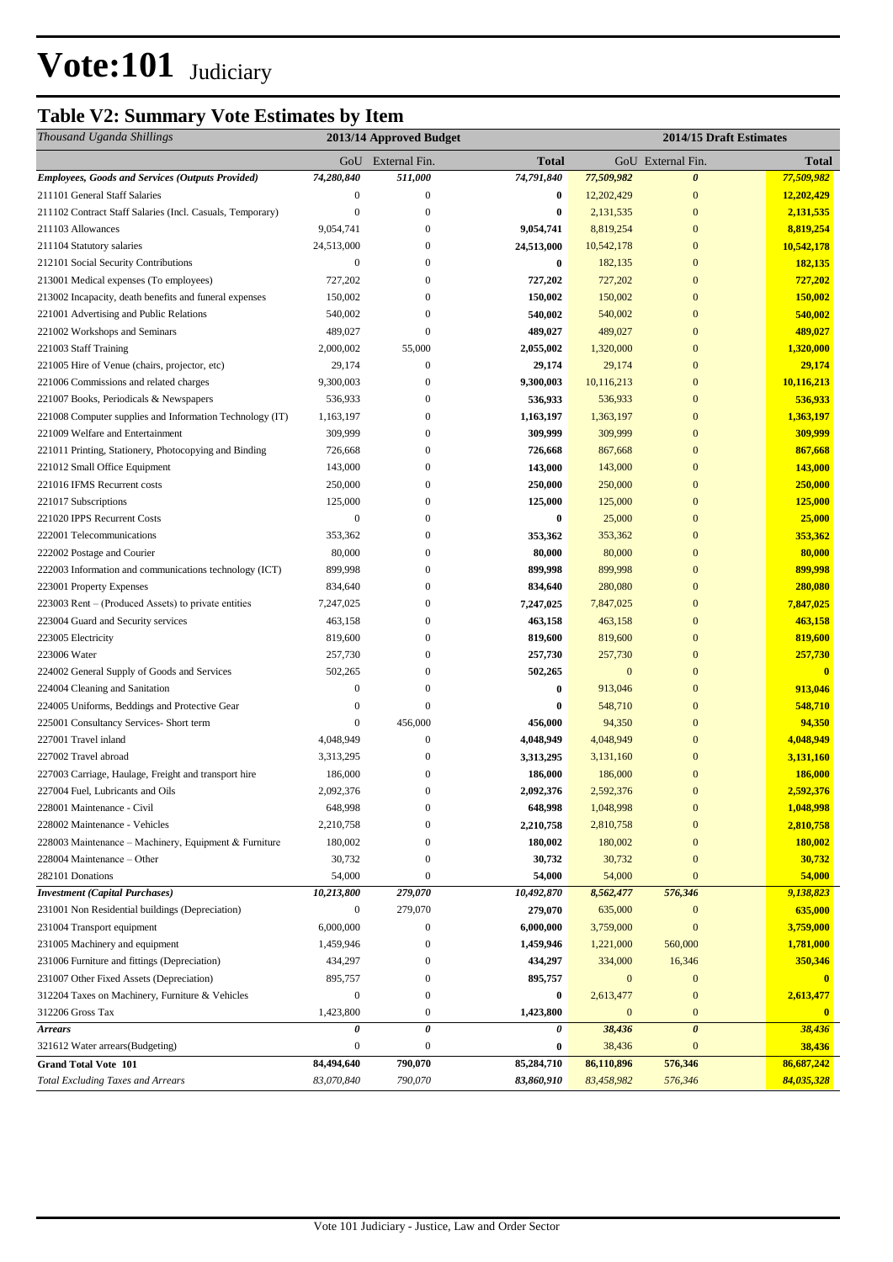## **Table V2: Summary Vote Estimates by Item**

| Thousand Uganda Shillings                                                      |                                | 2013/14 Approved Budget          |                          |                          | 2014/15 Draft Estimates          |                          |
|--------------------------------------------------------------------------------|--------------------------------|----------------------------------|--------------------------|--------------------------|----------------------------------|--------------------------|
|                                                                                |                                | GoU External Fin.                | <b>Total</b>             |                          | GoU External Fin.                | <b>Total</b>             |
| <b>Employees, Goods and Services (Outputs Provided)</b>                        | 74,280,840                     | 511,000                          | 74,791,840               | 77,509,982               | $\boldsymbol{\theta}$            | 77,509,982               |
| 211101 General Staff Salaries                                                  | $\boldsymbol{0}$               | $\boldsymbol{0}$                 | $\bf{0}$                 | 12,202,429               | $\boldsymbol{0}$                 | 12,202,429               |
| 211102 Contract Staff Salaries (Incl. Casuals, Temporary)                      | $\mathbf{0}$                   | $\boldsymbol{0}$                 | $\bf{0}$                 | 2,131,535                | $\boldsymbol{0}$                 | 2,131,535                |
| 211103 Allowances                                                              | 9,054,741                      | $\mathbf{0}$                     | 9,054,741                | 8,819,254                | $\boldsymbol{0}$                 | 8,819,254                |
| 211104 Statutory salaries                                                      | 24,513,000                     | $\mathbf{0}$                     | 24,513,000               | 10,542,178               | $\boldsymbol{0}$                 | 10,542,178               |
| 212101 Social Security Contributions                                           | $\boldsymbol{0}$               | $\mathbf{0}$                     | 0                        | 182,135                  | $\boldsymbol{0}$                 | 182,135                  |
| 213001 Medical expenses (To employees)                                         | 727,202                        | $\Omega$                         | 727,202                  | 727,202                  | $\boldsymbol{0}$                 | 727,202                  |
| 213002 Incapacity, death benefits and funeral expenses                         | 150,002                        | $\theta$                         | 150,002                  | 150,002                  | $\boldsymbol{0}$                 | 150,002                  |
| 221001 Advertising and Public Relations                                        | 540,002                        | $\mathbf{0}$                     | 540,002                  | 540,002                  | $\boldsymbol{0}$                 | 540,002                  |
| 221002 Workshops and Seminars                                                  | 489,027                        | $\overline{0}$                   | 489,027                  | 489,027                  | $\boldsymbol{0}$                 | 489,027                  |
| 221003 Staff Training                                                          | 2,000,002                      | 55,000                           | 2,055,002                | 1,320,000                | $\boldsymbol{0}$                 | 1,320,000                |
| 221005 Hire of Venue (chairs, projector, etc)                                  | 29,174                         | $\boldsymbol{0}$                 | 29,174                   | 29,174                   | $\boldsymbol{0}$                 | 29,174                   |
| 221006 Commissions and related charges                                         | 9,300,003                      | $\overline{0}$                   | 9,300,003                | 10,116,213               | $\boldsymbol{0}$                 | 10,116,213               |
| 221007 Books, Periodicals & Newspapers                                         | 536,933                        | $\boldsymbol{0}$                 | 536,933                  | 536,933                  | $\boldsymbol{0}$                 | 536,933                  |
| 221008 Computer supplies and Information Technology (IT)                       | 1,163,197                      | $\overline{0}$                   | 1,163,197                | 1,363,197                | $\boldsymbol{0}$                 | 1,363,197                |
| 221009 Welfare and Entertainment                                               | 309,999                        | $\boldsymbol{0}$                 | 309,999                  | 309,999                  | $\boldsymbol{0}$                 | 309,999                  |
| 221011 Printing, Stationery, Photocopying and Binding                          | 726,668                        | $\mathbf{0}$                     | 726,668                  | 867,668                  | $\boldsymbol{0}$                 | 867,668                  |
| 221012 Small Office Equipment                                                  | 143,000                        | $\mathbf{0}$                     | 143,000                  | 143,000                  | $\boldsymbol{0}$                 | 143,000                  |
| 221016 IFMS Recurrent costs                                                    | 250,000                        | $\overline{0}$                   | 250,000                  | 250,000                  | $\boldsymbol{0}$                 | 250,000                  |
| 221017 Subscriptions                                                           | 125,000                        | $\mathbf{0}$                     | 125,000                  | 125,000                  | $\boldsymbol{0}$                 | 125,000                  |
| 221020 IPPS Recurrent Costs                                                    | $\boldsymbol{0}$               | $\mathbf{0}$                     | 0                        | 25,000                   | $\boldsymbol{0}$                 | 25,000                   |
| 222001 Telecommunications                                                      | 353,362                        | $\theta$                         | 353,362                  | 353,362                  | $\mathbf{0}$                     | 353,362                  |
| 222002 Postage and Courier                                                     | 80,000                         | $\boldsymbol{0}$                 | 80,000                   | 80,000                   | $\mathbf{0}$                     | 80,000                   |
| 222003 Information and communications technology (ICT)                         | 899,998                        | $\theta$                         | 899,998                  | 899,998                  | $\mathbf{0}$                     | 899,998                  |
| 223001 Property Expenses                                                       | 834,640                        | $\boldsymbol{0}$                 | 834,640                  | 280,080                  | $\boldsymbol{0}$                 | 280,080                  |
| 223003 Rent – (Produced Assets) to private entities                            | 7,247,025                      | $\mathbf{0}$                     | 7,247,025                | 7,847,025                | $\boldsymbol{0}$                 | 7,847,025                |
| 223004 Guard and Security services                                             | 463,158                        | $\mathbf{0}$                     | 463,158                  | 463,158                  | $\mathbf{0}$                     | 463,158                  |
| 223005 Electricity                                                             | 819,600                        | $\Omega$                         | 819,600                  | 819,600                  | $\mathbf{0}$                     | 819,600                  |
| 223006 Water                                                                   | 257,730                        | $\theta$                         | 257,730                  | 257,730                  | $\mathbf{0}$                     | 257,730                  |
| 224002 General Supply of Goods and Services                                    | 502,265                        | $\boldsymbol{0}$                 | 502,265                  | $\mathbf{0}$             | $\mathbf{0}$                     | $\mathbf{0}$             |
| 224004 Cleaning and Sanitation                                                 | $\boldsymbol{0}$               | $\boldsymbol{0}$                 | 0                        | 913,046                  | $\mathbf{0}$                     | 913,046                  |
| 224005 Uniforms, Beddings and Protective Gear                                  | $\boldsymbol{0}$               | $\overline{0}$                   | 0                        | 548,710                  | $\mathbf{0}$                     | 548,710                  |
| 225001 Consultancy Services- Short term                                        | $\boldsymbol{0}$               | 456,000                          | 456,000                  | 94,350                   | $\mathbf{0}$                     | 94,350                   |
| 227001 Travel inland                                                           | 4,048,949                      | $\mathbf{0}$                     |                          | 4,048,949                | $\mathbf{0}$                     |                          |
|                                                                                | 3,313,295                      | $\boldsymbol{0}$                 | 4,048,949                |                          | $\boldsymbol{0}$                 | 4,048,949                |
| 227002 Travel abroad                                                           |                                |                                  | 3,313,295<br>186,000     | 3,131,160                |                                  | 3,131,160                |
| 227003 Carriage, Haulage, Freight and transport hire                           | 186,000                        | 0                                | 2,092,376                | 186,000                  | $\boldsymbol{0}$                 | 186,000                  |
| 227004 Fuel, Lubricants and Oils                                               | 2,092,376<br>648,998           | $\boldsymbol{0}$<br>$\mathbf{0}$ |                          | 2,592,376                | $\mathbf{0}$                     | 2,592,376                |
| 228001 Maintenance - Civil                                                     |                                | $\theta$                         | 648,998                  | 1,048,998                | $\boldsymbol{0}$                 | 1,048,998                |
| 228002 Maintenance - Vehicles                                                  | 2,210,758                      | $\overline{0}$                   | 2,210,758                | 2,810,758                | $\mathbf{0}$                     | 2,810,758                |
| 228003 Maintenance - Machinery, Equipment & Furniture                          | 180,002                        |                                  | 180,002                  | 180,002                  | $\mathbf{0}$                     | 180,002                  |
| 228004 Maintenance – Other                                                     | 30,732                         | $\mathbf{0}$<br>$\overline{0}$   | 30,732                   | 30,732                   | $\boldsymbol{0}$<br>$\mathbf{0}$ | 30,732                   |
| 282101 Donations<br><b>Investment</b> (Capital Purchases)                      | 54,000<br>10,213,800           | 279,070                          | 54,000<br>10,492,870     | 54,000<br>8,562,477      | 576,346                          | 54,000<br>9,138,823      |
| 231001 Non Residential buildings (Depreciation)                                | $\boldsymbol{0}$               | 279,070                          | 279,070                  |                          | $\boldsymbol{0}$                 | 635,000                  |
| 231004 Transport equipment                                                     | 6,000,000                      | $\boldsymbol{0}$                 | 6,000,000                | 635,000<br>3,759,000     | $\boldsymbol{0}$                 | 3,759,000                |
|                                                                                | 1,459,946                      | $\boldsymbol{0}$                 | 1,459,946                | 1,221,000                |                                  |                          |
| 231005 Machinery and equipment<br>231006 Furniture and fittings (Depreciation) | 434,297                        | $\overline{0}$                   | 434,297                  | 334,000                  | 560,000<br>16,346                | 1,781,000<br>350,346     |
|                                                                                |                                | $\overline{0}$                   |                          | $\boldsymbol{0}$         | $\boldsymbol{0}$                 |                          |
| 231007 Other Fixed Assets (Depreciation)                                       | 895,757                        |                                  | 895,757                  |                          |                                  | $\bf{0}$                 |
| 312204 Taxes on Machinery, Furniture & Vehicles                                | $\boldsymbol{0}$               | $\mathbf{0}$                     | $\bf{0}$                 | 2,613,477                | $\boldsymbol{0}$                 | 2,613,477                |
| 312206 Gross Tax                                                               | 1,423,800                      | $\boldsymbol{0}$                 | 1,423,800                | $\boldsymbol{0}$         | $\boldsymbol{0}$                 | $\bf{0}$                 |
| <b>Arrears</b>                                                                 | 0                              | 0                                | 0                        | 38,436                   | $\boldsymbol{\theta}$            | 38,436                   |
| 321612 Water arrears(Budgeting)                                                | $\boldsymbol{0}$<br>84,494,640 | $\mathbf{0}$<br>790,070          | $\boldsymbol{0}$         | 38,436                   | $\mathbf{0}$                     | 38,436                   |
| <b>Grand Total Vote 101</b><br><b>Total Excluding Taxes and Arrears</b>        | 83,070,840                     | 790,070                          | 85,284,710<br>83,860,910 | 86,110,896<br>83,458,982 | 576,346<br>576,346               | 86,687,242<br>84,035,328 |
|                                                                                |                                |                                  |                          |                          |                                  |                          |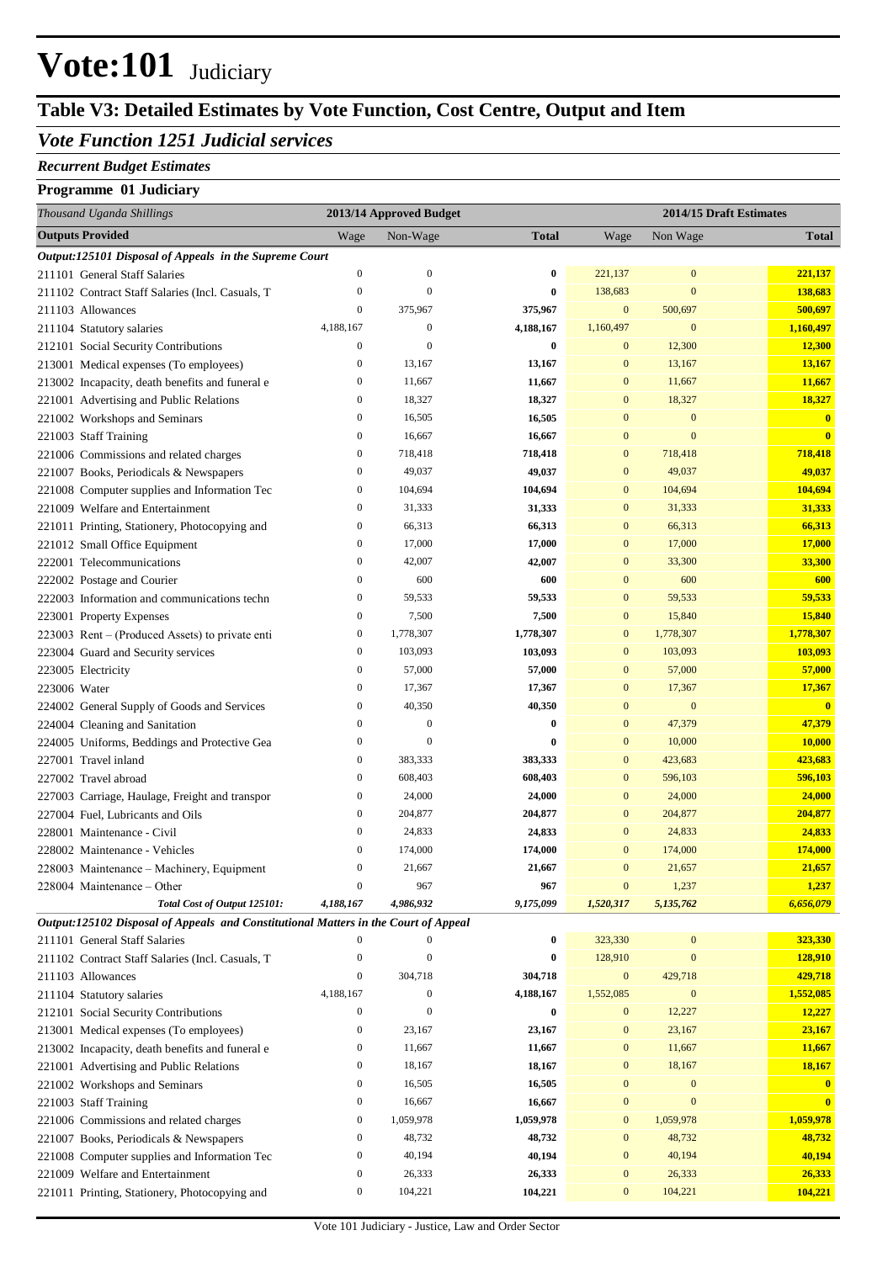## **Table V3: Detailed Estimates by Vote Function, Cost Centre, Output and Item**

#### *Vote Function 1251 Judicial services*

#### *Recurrent Budget Estimates*

| Thousand Uganda Shillings                                                                                           |                  | 2013/14 Approved Budget |                  |                           |                  | 2014/15 Draft Estimates |
|---------------------------------------------------------------------------------------------------------------------|------------------|-------------------------|------------------|---------------------------|------------------|-------------------------|
| <b>Outputs Provided</b>                                                                                             | Wage             | Non-Wage                | <b>Total</b>     | Wage                      | Non Wage         | <b>Total</b>            |
| Output:125101 Disposal of Appeals in the Supreme Court                                                              |                  |                         |                  |                           |                  |                         |
| 211101 General Staff Salaries                                                                                       | $\boldsymbol{0}$ | $\mathbf{0}$            | $\bf{0}$         | 221,137                   | $\mathbf{0}$     | 221,137                 |
| 211102 Contract Staff Salaries (Incl. Casuals, T                                                                    | $\mathbf{0}$     | $\overline{0}$          | $\bf{0}$         | 138,683                   | $\mathbf{0}$     | 138,683                 |
| 211103 Allowances                                                                                                   | $\boldsymbol{0}$ | 375,967                 | 375,967          | $\mathbf{0}$              | 500,697          | 500,697                 |
| 211104 Statutory salaries                                                                                           | 4,188,167        | $\mathbf{0}$            | 4,188,167        | 1,160,497                 | $\mathbf{0}$     | 1,160,497               |
| 212101 Social Security Contributions                                                                                | $\boldsymbol{0}$ | $\overline{0}$          | $\bf{0}$         | $\mathbf{0}$              | 12,300           | 12,300                  |
| 213001 Medical expenses (To employees)                                                                              | $\boldsymbol{0}$ | 13,167                  | 13,167           | $\mathbf{0}$              | 13,167           | 13,167                  |
| 213002 Incapacity, death benefits and funeral e                                                                     | $\boldsymbol{0}$ | 11,667                  | 11,667           | $\mathbf{0}$              | 11,667           | 11,667                  |
| 221001 Advertising and Public Relations                                                                             | $\boldsymbol{0}$ | 18,327                  | 18,327           | $\mathbf{0}$              | 18,327           | 18,327                  |
| 221002 Workshops and Seminars                                                                                       | $\boldsymbol{0}$ | 16,505                  | 16,505           | $\mathbf{0}$              | $\mathbf{0}$     | $\bf{0}$                |
| 221003 Staff Training                                                                                               | $\boldsymbol{0}$ | 16,667                  | 16,667           | $\mathbf{0}$              | $\mathbf{0}$     | $\mathbf{0}$            |
| 221006 Commissions and related charges                                                                              | $\boldsymbol{0}$ | 718,418                 | 718,418          | $\mathbf{0}$              | 718,418          | 718,418                 |
| 221007 Books, Periodicals & Newspapers                                                                              | $\boldsymbol{0}$ | 49,037                  | 49,037           | $\mathbf{0}$              | 49,037           | 49,037                  |
| 221008 Computer supplies and Information Tec                                                                        | $\boldsymbol{0}$ | 104,694                 | 104,694          | $\mathbf{0}$              | 104,694          | 104,694                 |
| 221009 Welfare and Entertainment                                                                                    | $\boldsymbol{0}$ | 31,333                  | 31,333           | $\mathbf{0}$              | 31,333           | 31,333                  |
| 221011 Printing, Stationery, Photocopying and                                                                       | $\boldsymbol{0}$ | 66,313                  | 66,313           | $\mathbf{0}$              | 66,313           | 66,313                  |
| 221012 Small Office Equipment                                                                                       | $\boldsymbol{0}$ | 17,000                  | 17,000           | $\mathbf{0}$              | 17,000           | 17,000                  |
| 222001 Telecommunications                                                                                           | $\mathbf{0}$     | 42,007                  | 42,007           | $\mathbf{0}$              | 33,300           | 33,300                  |
| 222002 Postage and Courier                                                                                          | $\boldsymbol{0}$ | 600                     | 600              | $\mathbf{0}$              | 600              | 600                     |
| 222003 Information and communications techn                                                                         | $\boldsymbol{0}$ | 59,533                  | 59,533           | $\mathbf{0}$              | 59,533           | 59,533                  |
| 223001 Property Expenses                                                                                            | $\boldsymbol{0}$ | 7,500                   | 7,500            | $\mathbf{0}$              | 15,840           | 15,840                  |
| 223003 Rent – (Produced Assets) to private enti                                                                     | $\boldsymbol{0}$ | 1,778,307               | 1,778,307        | $\boldsymbol{0}$          | 1,778,307        | 1,778,307               |
| 223004 Guard and Security services                                                                                  | $\boldsymbol{0}$ | 103,093                 | 103,093          | $\mathbf{0}$              | 103,093          | 103,093                 |
| 223005 Electricity                                                                                                  | $\boldsymbol{0}$ | 57,000                  | 57,000           | $\mathbf{0}$              | 57,000           | 57,000                  |
| 223006 Water                                                                                                        | $\boldsymbol{0}$ | 17,367                  | 17,367           | $\mathbf{0}$              | 17,367           | 17,367                  |
| 224002 General Supply of Goods and Services                                                                         | $\mathbf{0}$     | 40,350                  | 40,350           | $\mathbf{0}$              | $\boldsymbol{0}$ | $\overline{\mathbf{0}}$ |
| 224004 Cleaning and Sanitation                                                                                      | $\boldsymbol{0}$ | $\mathbf{0}$            | $\bf{0}$         | $\mathbf{0}$              | 47,379           | 47,379                  |
| 224005 Uniforms, Beddings and Protective Gea                                                                        | $\boldsymbol{0}$ | $\mathbf{0}$            | $\bf{0}$         | $\mathbf{0}$              | 10,000           | 10,000                  |
| 227001 Travel inland                                                                                                | $\boldsymbol{0}$ | 383,333                 | 383,333          | $\mathbf{0}$              | 423,683          | 423,683                 |
| 227002 Travel abroad                                                                                                | $\boldsymbol{0}$ | 608,403                 | 608,403          | $\mathbf{0}$              | 596,103          | 596,103                 |
| 227003 Carriage, Haulage, Freight and transpor                                                                      | $\boldsymbol{0}$ | 24,000                  | 24,000           | $\mathbf{0}$              | 24,000           | 24,000                  |
| 227004 Fuel, Lubricants and Oils                                                                                    | $\boldsymbol{0}$ | 204,877                 | 204,877          | $\mathbf{0}$              | 204,877          | 204,877                 |
| 228001 Maintenance - Civil                                                                                          | $\boldsymbol{0}$ | 24,833                  | 24,833           | $\mathbf{0}$              | 24,833           | 24,833                  |
| 228002 Maintenance - Vehicles                                                                                       | $\boldsymbol{0}$ | 174,000                 | 174,000          | $\mathbf{0}$              | 174,000          | 174,000                 |
| 228003 Maintenance - Machinery, Equipment                                                                           | $\boldsymbol{0}$ | 21,667                  | 21,667           | $\mathbf{0}$              | 21,657           | 21,657                  |
| 228004 Maintenance - Other                                                                                          | $\boldsymbol{0}$ | 967                     | 967<br>9,175,099 | $\mathbf{0}$<br>1,520,317 | 1,237            | 1,237<br>6,656,079      |
| Total Cost of Output 125101:<br>Output:125102 Disposal of Appeals and Constitutional Matters in the Court of Appeal | 4,188,167        | 4,986,932               |                  |                           | 5,135,762        |                         |
| 211101 General Staff Salaries                                                                                       | $\mathbf{0}$     | $\boldsymbol{0}$        | $\boldsymbol{0}$ | 323,330                   | $\boldsymbol{0}$ | 323,330                 |
| 211102 Contract Staff Salaries (Incl. Casuals, T                                                                    | $\boldsymbol{0}$ | $\overline{0}$          | $\bf{0}$         | 128,910                   | $\mathbf{0}$     | 128,910                 |
| 211103 Allowances                                                                                                   | $\boldsymbol{0}$ | 304,718                 | 304,718          | $\boldsymbol{0}$          | 429,718          | 429,718                 |
| 211104 Statutory salaries                                                                                           | 4,188,167        | $\boldsymbol{0}$        | 4,188,167        | 1,552,085                 | $\boldsymbol{0}$ | 1,552,085               |
| 212101 Social Security Contributions                                                                                | $\boldsymbol{0}$ | $\mathbf{0}$            | $\bf{0}$         | $\mathbf{0}$              | 12,227           | 12,227                  |
| 213001 Medical expenses (To employees)                                                                              | $\boldsymbol{0}$ | 23,167                  | 23,167           | $\boldsymbol{0}$          | 23,167           | 23,167                  |
| 213002 Incapacity, death benefits and funeral e                                                                     | $\boldsymbol{0}$ | 11,667                  | 11,667           | $\mathbf{0}$              | 11,667           | 11,667                  |
| 221001 Advertising and Public Relations                                                                             | $\boldsymbol{0}$ | 18,167                  | 18,167           | $\mathbf{0}$              | 18,167           | 18,167                  |
| 221002 Workshops and Seminars                                                                                       | $\boldsymbol{0}$ | 16,505                  | 16,505           | $\boldsymbol{0}$          | $\boldsymbol{0}$ |                         |
| 221003 Staff Training                                                                                               | $\boldsymbol{0}$ | 16,667                  | 16,667           | $\boldsymbol{0}$          | $\mathbf{0}$     | $\overline{\mathbf{0}}$ |
| 221006 Commissions and related charges                                                                              | $\boldsymbol{0}$ | 1,059,978               | 1,059,978        | $\boldsymbol{0}$          | 1,059,978        | 1,059,978               |
| 221007 Books, Periodicals & Newspapers                                                                              | $\boldsymbol{0}$ | 48,732                  | 48,732           | $\boldsymbol{0}$          | 48,732           | 48,732                  |
| 221008 Computer supplies and Information Tec                                                                        | $\boldsymbol{0}$ | 40,194                  | 40,194           | $\mathbf{0}$              | 40,194           | 40,194                  |
| 221009 Welfare and Entertainment                                                                                    | $\boldsymbol{0}$ | 26,333                  | 26,333           | $\boldsymbol{0}$          | 26,333           | 26,333                  |
| 221011 Printing, Stationery, Photocopying and                                                                       | $\boldsymbol{0}$ | 104,221                 | 104,221          | $\mathbf{0}$              | 104,221          | 104,221                 |
|                                                                                                                     |                  |                         |                  |                           |                  |                         |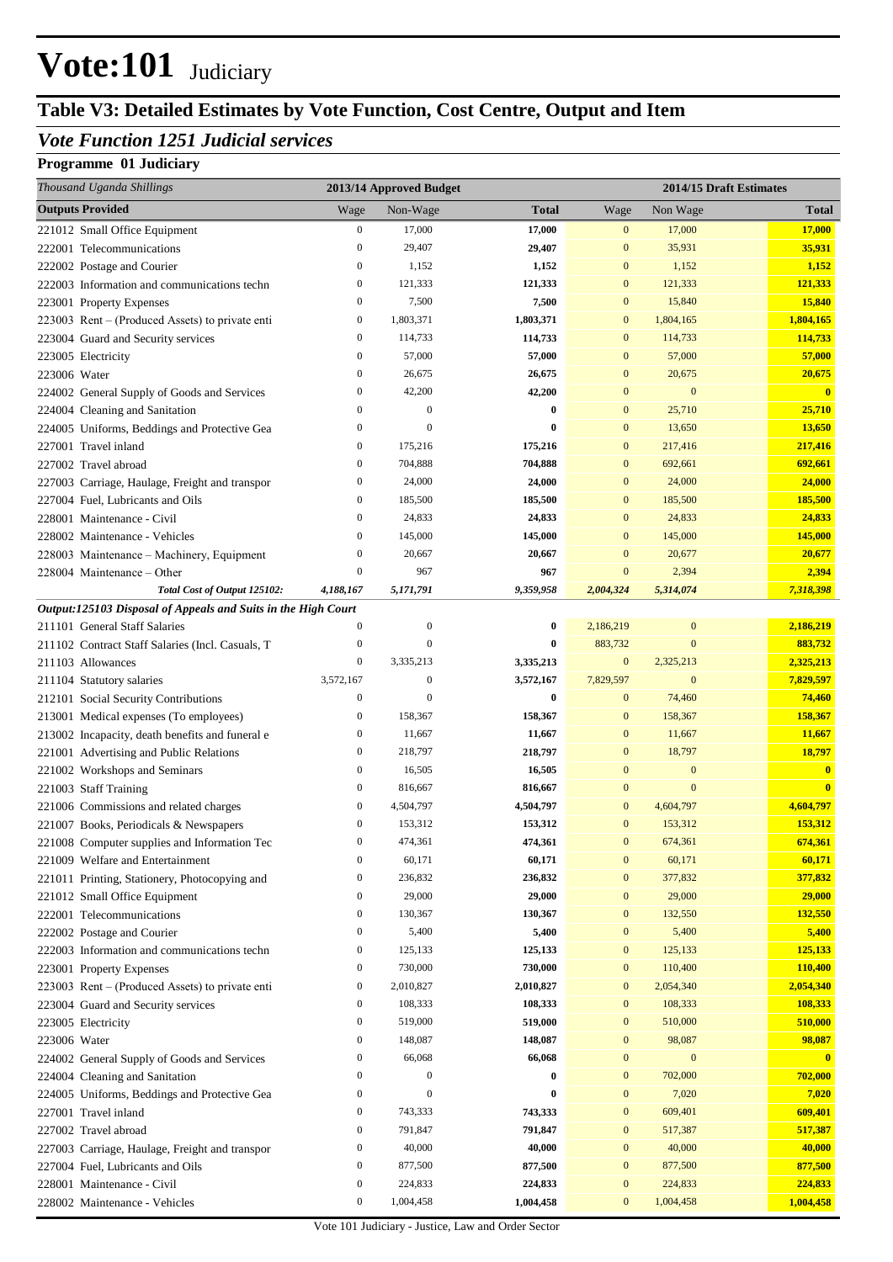## **Table V3: Detailed Estimates by Vote Function, Cost Centre, Output and Item**

### *Vote Function 1251 Judicial services*

| Thousand Uganda Shillings                                                                 |                              | 2013/14 Approved Budget       |                       |                               |                               | 2014/15 Draft Estimates |
|-------------------------------------------------------------------------------------------|------------------------------|-------------------------------|-----------------------|-------------------------------|-------------------------------|-------------------------|
| <b>Outputs Provided</b>                                                                   | Wage                         | Non-Wage                      | <b>Total</b>          | Wage                          | Non Wage                      | <b>Total</b>            |
| 221012 Small Office Equipment                                                             | $\boldsymbol{0}$             | 17,000                        | 17,000                | $\overline{0}$                | 17,000                        | 17,000                  |
| 222001 Telecommunications                                                                 | $\mathbf{0}$                 | 29,407                        | 29,407                | $\mathbf{0}$                  | 35,931                        | 35,931                  |
| 222002 Postage and Courier                                                                | $\mathbf{0}$                 | 1,152                         | 1,152                 | $\bf{0}$                      | 1,152                         | 1,152                   |
| 222003 Information and communications techn                                               | $\boldsymbol{0}$             | 121,333                       | 121,333               | $\boldsymbol{0}$              | 121,333                       | 121,333                 |
| 223001 Property Expenses                                                                  | $\boldsymbol{0}$             | 7,500                         | 7,500                 | $\mathbf{0}$                  | 15,840                        | 15,840                  |
| 223003 Rent – (Produced Assets) to private enti                                           | $\boldsymbol{0}$             | 1,803,371                     | 1,803,371             | $\boldsymbol{0}$              | 1,804,165                     | 1,804,165               |
| 223004 Guard and Security services                                                        | $\boldsymbol{0}$             | 114,733                       | 114,733               | $\boldsymbol{0}$              | 114,733                       | 114,733                 |
| 223005 Electricity                                                                        | $\mathbf{0}$                 | 57,000                        | 57,000                | $\mathbf{0}$                  | 57,000                        | 57,000                  |
| 223006 Water                                                                              | $\boldsymbol{0}$             | 26,675                        | 26,675                | $\mathbf{0}$                  | 20,675                        | 20,675                  |
| 224002 General Supply of Goods and Services                                               | $\mathbf{0}$                 | 42,200                        | 42,200                | $\mathbf{0}$                  | $\mathbf{0}$                  | $\mathbf{0}$            |
| 224004 Cleaning and Sanitation                                                            | $\mathbf{0}$                 | $\overline{0}$                | $\boldsymbol{0}$      | $\mathbf{0}$                  | 25,710                        | 25,710                  |
| 224005 Uniforms, Beddings and Protective Gea                                              | $\boldsymbol{0}$             | $\Omega$                      | $\bf{0}$              | $\mathbf{0}$                  | 13,650                        | 13,650                  |
| 227001 Travel inland                                                                      | $\boldsymbol{0}$             | 175,216                       | 175,216               | $\mathbf{0}$                  | 217,416                       | 217,416                 |
| 227002 Travel abroad                                                                      | $\boldsymbol{0}$             | 704,888                       | 704,888               | $\mathbf{0}$                  | 692,661                       | 692,661                 |
| 227003 Carriage, Haulage, Freight and transpor                                            | $\boldsymbol{0}$             | 24,000                        | 24,000                | $\mathbf{0}$                  | 24,000                        | 24,000                  |
| 227004 Fuel, Lubricants and Oils                                                          | $\boldsymbol{0}$             | 185,500                       | 185,500               | $\mathbf{0}$                  | 185,500                       | 185,500                 |
| 228001 Maintenance - Civil                                                                | $\boldsymbol{0}$             | 24,833                        | 24,833                | $\mathbf{0}$                  | 24,833                        | 24,833                  |
| 228002 Maintenance - Vehicles                                                             | $\boldsymbol{0}$             | 145,000                       | 145,000               | $\mathbf{0}$                  | 145,000                       | 145,000                 |
| 228003 Maintenance - Machinery, Equipment                                                 | $\boldsymbol{0}$             | 20,667                        | 20,667                | $\bf{0}$                      | 20,677                        | 20,677                  |
| 228004 Maintenance – Other                                                                | $\overline{0}$               | 967                           | 967                   | $\mathbf{0}$                  | 2,394                         | 2,394                   |
| Total Cost of Output 125102:                                                              | 4,188,167                    | 5,171,791                     | 9,359,958             | 2,004,324                     | 5,314,074                     | 7,318,398               |
| Output:125103 Disposal of Appeals and Suits in the High Court                             |                              |                               |                       |                               |                               |                         |
| 211101 General Staff Salaries                                                             | $\boldsymbol{0}$             | $\boldsymbol{0}$<br>$\theta$  | $\bf{0}$              | 2,186,219                     | $\boldsymbol{0}$              | 2,186,219               |
| 211102 Contract Staff Salaries (Incl. Casuals, T                                          | $\mathbf{0}$<br>$\mathbf{0}$ |                               | $\bf{0}$              | 883,732                       | $\overline{0}$                | 883,732                 |
| 211103 Allowances                                                                         | 3,572,167                    | 3,335,213<br>$\boldsymbol{0}$ | 3,335,213             | $\boldsymbol{0}$              | 2,325,213<br>$\boldsymbol{0}$ | 2,325,213               |
| 211104 Statutory salaries                                                                 | $\mathbf{0}$                 | $\Omega$                      | 3,572,167<br>$\bf{0}$ | 7,829,597<br>$\boldsymbol{0}$ | 74,460                        | 7,829,597<br>74,460     |
| 212101 Social Security Contributions                                                      | $\boldsymbol{0}$             | 158,367                       | 158,367               | $\bf{0}$                      | 158,367                       | 158,367                 |
| 213001 Medical expenses (To employees)<br>213002 Incapacity, death benefits and funeral e | $\mathbf{0}$                 | 11,667                        | 11,667                | $\bf{0}$                      | 11,667                        | 11,667                  |
| 221001 Advertising and Public Relations                                                   | $\boldsymbol{0}$             | 218,797                       | 218,797               | $\bf{0}$                      | 18,797                        | 18,797                  |
| 221002 Workshops and Seminars                                                             | $\boldsymbol{0}$             | 16,505                        | 16,505                | $\mathbf{0}$                  | $\bf{0}$                      | $\bf{0}$                |
| 221003 Staff Training                                                                     | $\boldsymbol{0}$             | 816,667                       | 816,667               | $\mathbf{0}$                  | $\overline{0}$                | $\overline{\mathbf{0}}$ |
| 221006 Commissions and related charges                                                    | 0                            | 4,504,797                     | 4,504,797             | $\bf{0}$                      | 4,604,797                     | 4,604,797               |
| 221007 Books, Periodicals & Newspapers                                                    | $\boldsymbol{0}$             | 153,312                       | 153,312               | $\bf{0}$                      | 153,312                       | 153,312                 |
| 221008 Computer supplies and Information Tec                                              | $\overline{0}$               | 474,361                       | 474,361               | $\overline{0}$                | 674,361                       | 674,361                 |
| 221009 Welfare and Entertainment                                                          | $\boldsymbol{0}$             | 60,171                        | 60,171                | $\mathbf{0}$                  | 60,171                        | 60,171                  |
| 221011 Printing, Stationery, Photocopying and                                             | $\mathbf{0}$                 | 236,832                       | 236,832               | $\bf{0}$                      | 377,832                       | 377,832                 |
| 221012 Small Office Equipment                                                             | $\boldsymbol{0}$             | 29,000                        | 29,000                | $\bf{0}$                      | 29,000                        | 29,000                  |
| 222001 Telecommunications                                                                 | $\boldsymbol{0}$             | 130,367                       | 130,367               | $\boldsymbol{0}$              | 132,550                       | 132,550                 |
| 222002 Postage and Courier                                                                | $\boldsymbol{0}$             | 5,400                         | 5,400                 | $\boldsymbol{0}$              | 5,400                         | 5,400                   |
| 222003 Information and communications techn                                               | 0                            | 125,133                       | 125,133               | $\boldsymbol{0}$              | 125,133                       | 125,133                 |
| 223001 Property Expenses                                                                  | $\boldsymbol{0}$             | 730,000                       | 730,000               | $\boldsymbol{0}$              | 110,400                       | 110,400                 |
| 223003 Rent – (Produced Assets) to private enti                                           | 0                            | 2,010,827                     | 2,010,827             | $\boldsymbol{0}$              | 2,054,340                     | 2,054,340               |
| 223004 Guard and Security services                                                        | 0                            | 108,333                       | 108,333               | $\boldsymbol{0}$              | 108,333                       | 108,333                 |
| 223005 Electricity                                                                        | $\boldsymbol{0}$             | 519,000                       | 519,000               | $\bf{0}$                      | 510,000                       | 510,000                 |
| 223006 Water                                                                              | $\boldsymbol{0}$             | 148,087                       | 148,087               | $\bf{0}$                      | 98,087                        | 98,087                  |
| 224002 General Supply of Goods and Services                                               | $\boldsymbol{0}$             | 66,068                        | 66,068                | $\mathbf{0}$                  | $\boldsymbol{0}$              | $\mathbf{0}$            |
| 224004 Cleaning and Sanitation                                                            | $\boldsymbol{0}$             | $\mathbf{0}$                  | 0                     | $\boldsymbol{0}$              | 702,000                       | 702,000                 |
| 224005 Uniforms, Beddings and Protective Gea                                              | $\boldsymbol{0}$             | $\Omega$                      | $\bf{0}$              | $\boldsymbol{0}$              | 7,020                         | 7,020                   |
| 227001 Travel inland                                                                      | $\boldsymbol{0}$             | 743,333                       | 743,333               | $\boldsymbol{0}$              | 609,401                       | 609,401                 |
| 227002 Travel abroad                                                                      | $\boldsymbol{0}$             | 791,847                       | 791,847               | $\bf{0}$                      | 517,387                       | 517,387                 |
| 227003 Carriage, Haulage, Freight and transpor                                            | $\boldsymbol{0}$             | 40,000                        | 40,000                | $\bf{0}$                      | 40,000                        | 40,000                  |
| 227004 Fuel, Lubricants and Oils                                                          | 0                            | 877,500                       | 877,500               | $\boldsymbol{0}$              | 877,500                       | 877,500                 |
| 228001 Maintenance - Civil                                                                | $\boldsymbol{0}$             | 224,833                       | 224,833               | $\boldsymbol{0}$              | 224,833                       | 224,833                 |
| 228002 Maintenance - Vehicles                                                             | $\boldsymbol{0}$             | 1,004,458                     | 1,004,458             | $\boldsymbol{0}$              | 1,004,458                     | 1,004,458               |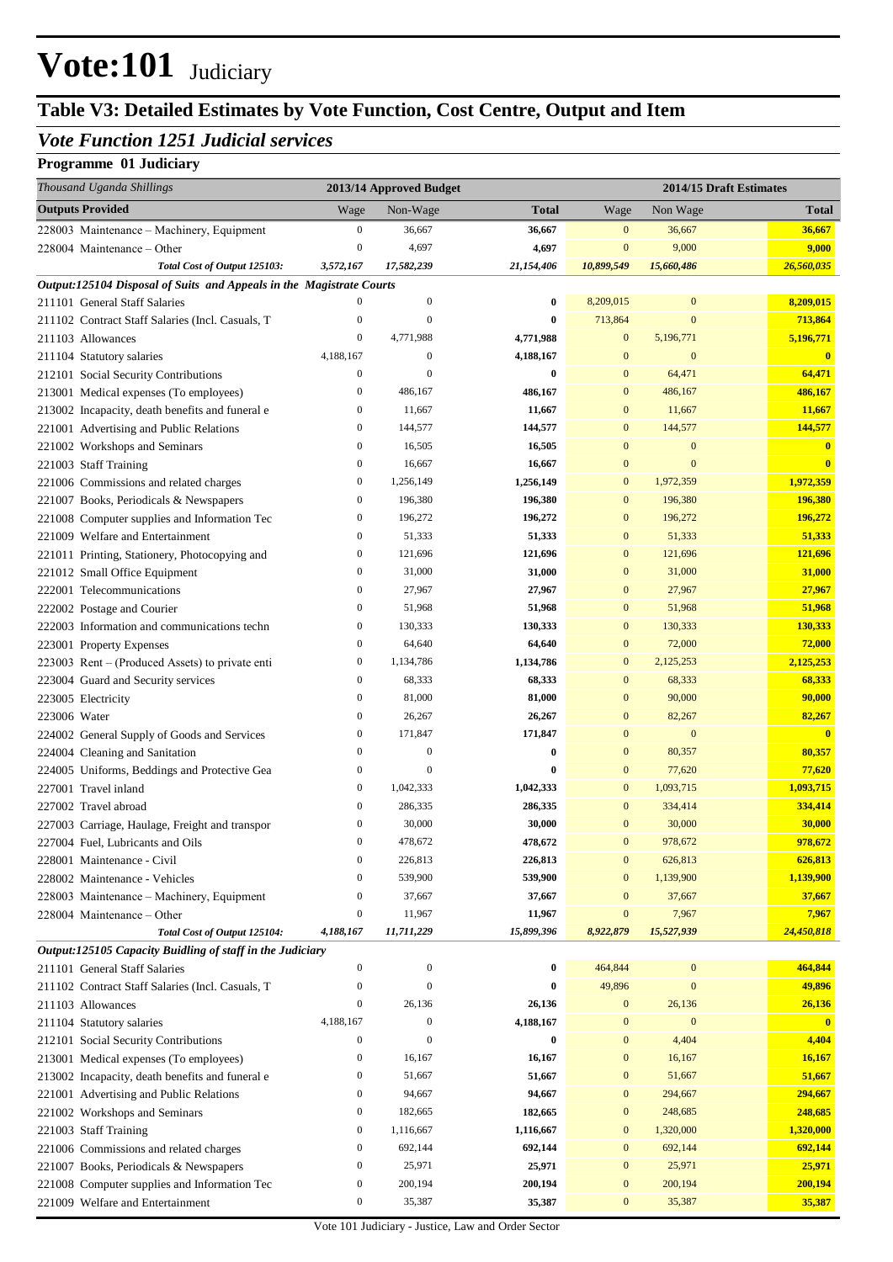## **Table V3: Detailed Estimates by Vote Function, Cost Centre, Output and Item**

### *Vote Function 1251 Judicial services*

| <b>Outputs Provided</b><br>Non-Wage<br>Non Wage<br>Wage<br>Total<br>Wage<br>Total<br>0<br>36,667<br>36,667<br>$\bf{0}$<br>36,667<br>228003 Maintenance - Machinery, Equipment<br>36,667<br>$\mathbf{0}$<br>4,697<br>9,000<br>4,697<br>$\bf{0}$<br>9,000<br>228004 Maintenance – Other<br>Total Cost of Output 125103:<br>17,582,239<br>26,560,035<br>3,572,167<br>21,154,406<br>10,899,549<br>15,660,486<br>Output:125104 Disposal of Suits and Appeals in the Magistrate Courts<br>$\mathbf{0}$<br>8,209,015<br>8,209,015<br>$\mathbf{0}$<br>$\bf{0}$<br>$\boldsymbol{0}$<br>211101 General Staff Salaries<br>$\mathbf{0}$<br>713,864<br>713,864<br>211102 Contract Staff Salaries (Incl. Casuals, T<br>$\boldsymbol{0}$<br>$\bf{0}$<br>$\mathbf{0}$<br>$\mathbf{0}$<br>5,196,771<br>211103 Allowances<br>4,771,988<br>4,771,988<br>$\bf{0}$<br>5,196,771<br>4,188,167<br>4,188,167<br>$\mathbf{0}$<br>211104 Statutory salaries<br>$\boldsymbol{0}$<br>$\bf{0}$<br>$\bf{0}$<br>$\boldsymbol{0}$<br>64,471<br>64,471<br>212101 Social Security Contributions<br>$\mathbf{0}$<br>$\bf{0}$<br>$\bf{0}$<br>486,167<br>213001 Medical expenses (To employees)<br>0<br>486,167<br>486,167<br>$\bf{0}$<br>486,167<br>11,667<br>213002 Incapacity, death benefits and funeral e<br>0<br>11,667<br>11,667<br>$\bf{0}$<br>11,667<br>144,577<br>144,577<br>221001 Advertising and Public Relations<br>0<br>144,577<br>144,577<br>$\bf{0}$<br>16,505<br>221002 Workshops and Seminars<br>0<br>16,505<br>$\bf{0}$<br>$\mathbf{0}$<br>$\mathbf{0}$<br>$\boldsymbol{0}$<br>$\bf{0}$<br>221003 Staff Training<br>16,667<br>16,667<br>$\bf{0}$<br>$\mathbf{0}$<br>1,972,359<br>1,972,359<br>221006 Commissions and related charges<br>0<br>1,256,149<br>1,256,149<br>$\mathbf{0}$<br>196,380<br>221007 Books, Periodicals & Newspapers<br>0<br>196,380<br>196,380<br>$\bf{0}$<br>196,380<br>196,272<br>221008 Computer supplies and Information Tec<br>0<br>196,272<br>196,272<br>$\bf{0}$<br>196,272<br>51,333<br>51,333<br>221009 Welfare and Entertainment<br>0<br>51,333<br>51,333<br>$\bf{0}$<br>121,696<br>221011 Printing, Stationery, Photocopying and<br>0<br>121,696<br>121,696<br>$\bf{0}$<br>121,696<br>31,000<br>31,000<br>31,000<br>221012 Small Office Equipment<br>0<br>31,000<br>$\bf{0}$<br>$\boldsymbol{0}$<br>27,967<br>27,967<br>27,967<br>$\bf{0}$<br>27,967<br>222001 Telecommunications<br>0<br>51,968<br>$\bf{0}$<br>51,968<br>51,968<br>51,968<br>222002 Postage and Courier<br>$\boldsymbol{0}$<br>130,333<br>$\bf{0}$<br>130,333<br>130,333<br>222003 Information and communications techn<br>130,333<br>$\boldsymbol{0}$<br>64,640<br>72,000<br>64,640<br>$\bf{0}$<br>72,000<br>223001 Property Expenses<br>$\boldsymbol{0}$<br>1,134,786<br>1,134,786<br>$\bf{0}$<br>2,125,253<br>2,125,253<br>223003 Rent – (Produced Assets) to private enti<br>0<br>68,333<br>$\bf{0}$<br>68,333<br>68,333<br>223004 Guard and Security services<br>68,333<br>90,000<br>90,000<br>0<br>81,000<br>81,000<br>$\bf{0}$<br>223005 Electricity<br>$\boldsymbol{0}$<br>26,267<br>82,267<br>82,267<br>26,267<br>$\bf{0}$<br>223006 Water<br>$\boldsymbol{0}$<br>171,847<br>$\bf{0}$<br>$\mathbf{0}$<br>$\overline{\mathbf{0}}$<br>224002 General Supply of Goods and Services<br>171,847<br>$\boldsymbol{0}$<br>$\mathbf{0}$<br>$\bf{0}$<br>$\bf{0}$<br>80,357<br>80,357<br>224004 Cleaning and Sanitation<br>0<br>$\boldsymbol{0}$<br>$\bf{0}$<br>77,620<br>77,620<br>224005 Uniforms, Beddings and Protective Gea<br>$\bf{0}$<br>$\boldsymbol{0}$<br>1,042,333<br>1,093,715<br>227001 Travel inland<br>1,042,333<br>$\bf{0}$<br>1,093,715<br>$\boldsymbol{0}$<br>334,414<br>286,335<br>286,335<br>$\mathbf{0}$<br>334,414<br>227002 Travel abroad<br>30,000<br>30,000<br>30,000<br>30,000<br>227003 Carriage, Haulage, Freight and transpor<br>0<br>$\mathbf{0}$<br>978,672<br>$\mathbf{0}$<br>478,672<br>478,672<br>978,672<br>$\Omega$<br>227004 Fuel, Lubricants and Oils<br>626,813<br>626,813<br>$\boldsymbol{0}$<br>226,813<br>226,813<br>$\mathbf{0}$<br>228001 Maintenance - Civil<br>539,900<br>1,139,900<br>539,900<br>1,139,900<br>228002 Maintenance - Vehicles<br>$\boldsymbol{0}$<br>$\bf{0}$<br>37,667<br>37,667<br>37,667<br>37,667<br>228003 Maintenance - Machinery, Equipment<br>$\boldsymbol{0}$<br>$\boldsymbol{0}$<br>$\boldsymbol{0}$<br>11,967<br>11,967<br>7,967<br>7,967<br>228004 Maintenance – Other<br>$\boldsymbol{0}$<br>Total Cost of Output 125104:<br>4,188,167<br>11,711,229<br>15,899,396<br>8,922,879<br>24,450,818<br>15,527,939<br>Output:125105 Capacity Buidling of staff in the Judiciary<br>464,844<br>211101 General Staff Salaries<br>$\boldsymbol{0}$<br>$\boldsymbol{0}$<br>$\boldsymbol{0}$<br>464,844<br>$\boldsymbol{0}$<br>49,896<br>49,896<br>$\boldsymbol{0}$<br>$\mathbf{0}$<br>$\bf{0}$<br>$\mathbf{0}$<br>211102 Contract Staff Salaries (Incl. Casuals, T<br>$\boldsymbol{0}$<br>26,136<br>26,136<br>$\overline{0}$<br>26,136<br>26,136<br>211103 Allowances<br>4,188,167<br>$\mathbf{0}$<br>4,188,167<br>$\mathbf{0}$<br>$\overline{\mathbf{0}}$<br>211104 Statutory salaries<br>$\bf{0}$<br>$\boldsymbol{0}$<br>$\overline{0}$<br>$\bf{0}$<br>4,404<br>4,404<br>212101 Social Security Contributions<br>$\bf{0}$<br>213001 Medical expenses (To employees)<br>16,167<br>16,167<br>16,167<br>16,167<br>0<br>$\bf{0}$<br>51,667<br>51,667<br>51,667<br>51,667<br>213002 Incapacity, death benefits and funeral e<br>0<br>$\boldsymbol{0}$<br>221001 Advertising and Public Relations<br>94,667<br>294,667<br>294,667<br>0<br>94,667<br>$\boldsymbol{0}$<br>$\boldsymbol{0}$<br>182,665<br>248,685<br>248,685<br>221002 Workshops and Seminars<br>182,665<br>$\boldsymbol{0}$<br>$\boldsymbol{0}$<br>1,116,667<br>1,320,000<br>1,320,000<br>221003 Staff Training<br>1,116,667<br>$\boldsymbol{0}$<br>$\boldsymbol{0}$<br>692,144<br>692,144<br>692,144<br>692,144<br>$\boldsymbol{0}$<br>221006 Commissions and related charges<br>$\boldsymbol{0}$<br>25,971<br>25,971<br>25,971<br>25,971<br>$\boldsymbol{0}$<br>221007 Books, Periodicals & Newspapers<br>$\boldsymbol{0}$<br>200,194<br>200,194<br>200,194<br>200,194<br>$\boldsymbol{0}$<br>221008 Computer supplies and Information Tec<br>$\boldsymbol{0}$<br>35,387<br>35,387<br>35,387<br>221009 Welfare and Entertainment<br>35,387<br>$\boldsymbol{0}$ | Thousand Uganda Shillings | 2013/14 Approved Budget |  | 2014/15 Draft Estimates |
|-------------------------------------------------------------------------------------------------------------------------------------------------------------------------------------------------------------------------------------------------------------------------------------------------------------------------------------------------------------------------------------------------------------------------------------------------------------------------------------------------------------------------------------------------------------------------------------------------------------------------------------------------------------------------------------------------------------------------------------------------------------------------------------------------------------------------------------------------------------------------------------------------------------------------------------------------------------------------------------------------------------------------------------------------------------------------------------------------------------------------------------------------------------------------------------------------------------------------------------------------------------------------------------------------------------------------------------------------------------------------------------------------------------------------------------------------------------------------------------------------------------------------------------------------------------------------------------------------------------------------------------------------------------------------------------------------------------------------------------------------------------------------------------------------------------------------------------------------------------------------------------------------------------------------------------------------------------------------------------------------------------------------------------------------------------------------------------------------------------------------------------------------------------------------------------------------------------------------------------------------------------------------------------------------------------------------------------------------------------------------------------------------------------------------------------------------------------------------------------------------------------------------------------------------------------------------------------------------------------------------------------------------------------------------------------------------------------------------------------------------------------------------------------------------------------------------------------------------------------------------------------------------------------------------------------------------------------------------------------------------------------------------------------------------------------------------------------------------------------------------------------------------------------------------------------------------------------------------------------------------------------------------------------------------------------------------------------------------------------------------------------------------------------------------------------------------------------------------------------------------------------------------------------------------------------------------------------------------------------------------------------------------------------------------------------------------------------------------------------------------------------------------------------------------------------------------------------------------------------------------------------------------------------------------------------------------------------------------------------------------------------------------------------------------------------------------------------------------------------------------------------------------------------------------------------------------------------------------------------------------------------------------------------------------------------------------------------------------------------------------------------------------------------------------------------------------------------------------------------------------------------------------------------------------------------------------------------------------------------------------------------------------------------------------------------------------------------------------------------------------------------------------------------------------------------------------------------------------------------------------------------------------------------------------------------------------------------------------------------------------------------------------------------------------------------------------------------------------------------------------------------------------------------------------------------------------------------------------------------------------------------------------------------------------------------------------------------------------------------------------------------------------------------------------------------------------------------------------------------------------------------------------------------------------------------------------------------------------------------------------------------------------------------------------------------------------------------------------------------------------------------------------------------------------------------------------------------------------------------------------------------------------------------------------------------------------------------------------------------------------------------------------------------------------------------------------------------------------------------------------------------------------------------------------------------------------------------------------------------------------------------------------------------------------------------------------------------------------------------------------|---------------------------|-------------------------|--|-------------------------|
|                                                                                                                                                                                                                                                                                                                                                                                                                                                                                                                                                                                                                                                                                                                                                                                                                                                                                                                                                                                                                                                                                                                                                                                                                                                                                                                                                                                                                                                                                                                                                                                                                                                                                                                                                                                                                                                                                                                                                                                                                                                                                                                                                                                                                                                                                                                                                                                                                                                                                                                                                                                                                                                                                                                                                                                                                                                                                                                                                                                                                                                                                                                                                                                                                                                                                                                                                                                                                                                                                                                                                                                                                                                                                                                                                                                                                                                                                                                                                                                                                                                                                                                                                                                                                                                                                                                                                                                                                                                                                                                                                                                                                                                                                                                                                                                                                                                                                                                                                                                                                                                                                                                                                                                                                                                                                                                                                                                                                                                                                                                                                                                                                                                                                                                                                                                                                                                                                                                                                                                                                                                                                                                                                                                                                                                                                                                                                                         |                           |                         |  |                         |
|                                                                                                                                                                                                                                                                                                                                                                                                                                                                                                                                                                                                                                                                                                                                                                                                                                                                                                                                                                                                                                                                                                                                                                                                                                                                                                                                                                                                                                                                                                                                                                                                                                                                                                                                                                                                                                                                                                                                                                                                                                                                                                                                                                                                                                                                                                                                                                                                                                                                                                                                                                                                                                                                                                                                                                                                                                                                                                                                                                                                                                                                                                                                                                                                                                                                                                                                                                                                                                                                                                                                                                                                                                                                                                                                                                                                                                                                                                                                                                                                                                                                                                                                                                                                                                                                                                                                                                                                                                                                                                                                                                                                                                                                                                                                                                                                                                                                                                                                                                                                                                                                                                                                                                                                                                                                                                                                                                                                                                                                                                                                                                                                                                                                                                                                                                                                                                                                                                                                                                                                                                                                                                                                                                                                                                                                                                                                                                         |                           |                         |  |                         |
|                                                                                                                                                                                                                                                                                                                                                                                                                                                                                                                                                                                                                                                                                                                                                                                                                                                                                                                                                                                                                                                                                                                                                                                                                                                                                                                                                                                                                                                                                                                                                                                                                                                                                                                                                                                                                                                                                                                                                                                                                                                                                                                                                                                                                                                                                                                                                                                                                                                                                                                                                                                                                                                                                                                                                                                                                                                                                                                                                                                                                                                                                                                                                                                                                                                                                                                                                                                                                                                                                                                                                                                                                                                                                                                                                                                                                                                                                                                                                                                                                                                                                                                                                                                                                                                                                                                                                                                                                                                                                                                                                                                                                                                                                                                                                                                                                                                                                                                                                                                                                                                                                                                                                                                                                                                                                                                                                                                                                                                                                                                                                                                                                                                                                                                                                                                                                                                                                                                                                                                                                                                                                                                                                                                                                                                                                                                                                                         |                           |                         |  |                         |
|                                                                                                                                                                                                                                                                                                                                                                                                                                                                                                                                                                                                                                                                                                                                                                                                                                                                                                                                                                                                                                                                                                                                                                                                                                                                                                                                                                                                                                                                                                                                                                                                                                                                                                                                                                                                                                                                                                                                                                                                                                                                                                                                                                                                                                                                                                                                                                                                                                                                                                                                                                                                                                                                                                                                                                                                                                                                                                                                                                                                                                                                                                                                                                                                                                                                                                                                                                                                                                                                                                                                                                                                                                                                                                                                                                                                                                                                                                                                                                                                                                                                                                                                                                                                                                                                                                                                                                                                                                                                                                                                                                                                                                                                                                                                                                                                                                                                                                                                                                                                                                                                                                                                                                                                                                                                                                                                                                                                                                                                                                                                                                                                                                                                                                                                                                                                                                                                                                                                                                                                                                                                                                                                                                                                                                                                                                                                                                         |                           |                         |  |                         |
|                                                                                                                                                                                                                                                                                                                                                                                                                                                                                                                                                                                                                                                                                                                                                                                                                                                                                                                                                                                                                                                                                                                                                                                                                                                                                                                                                                                                                                                                                                                                                                                                                                                                                                                                                                                                                                                                                                                                                                                                                                                                                                                                                                                                                                                                                                                                                                                                                                                                                                                                                                                                                                                                                                                                                                                                                                                                                                                                                                                                                                                                                                                                                                                                                                                                                                                                                                                                                                                                                                                                                                                                                                                                                                                                                                                                                                                                                                                                                                                                                                                                                                                                                                                                                                                                                                                                                                                                                                                                                                                                                                                                                                                                                                                                                                                                                                                                                                                                                                                                                                                                                                                                                                                                                                                                                                                                                                                                                                                                                                                                                                                                                                                                                                                                                                                                                                                                                                                                                                                                                                                                                                                                                                                                                                                                                                                                                                         |                           |                         |  |                         |
|                                                                                                                                                                                                                                                                                                                                                                                                                                                                                                                                                                                                                                                                                                                                                                                                                                                                                                                                                                                                                                                                                                                                                                                                                                                                                                                                                                                                                                                                                                                                                                                                                                                                                                                                                                                                                                                                                                                                                                                                                                                                                                                                                                                                                                                                                                                                                                                                                                                                                                                                                                                                                                                                                                                                                                                                                                                                                                                                                                                                                                                                                                                                                                                                                                                                                                                                                                                                                                                                                                                                                                                                                                                                                                                                                                                                                                                                                                                                                                                                                                                                                                                                                                                                                                                                                                                                                                                                                                                                                                                                                                                                                                                                                                                                                                                                                                                                                                                                                                                                                                                                                                                                                                                                                                                                                                                                                                                                                                                                                                                                                                                                                                                                                                                                                                                                                                                                                                                                                                                                                                                                                                                                                                                                                                                                                                                                                                         |                           |                         |  |                         |
|                                                                                                                                                                                                                                                                                                                                                                                                                                                                                                                                                                                                                                                                                                                                                                                                                                                                                                                                                                                                                                                                                                                                                                                                                                                                                                                                                                                                                                                                                                                                                                                                                                                                                                                                                                                                                                                                                                                                                                                                                                                                                                                                                                                                                                                                                                                                                                                                                                                                                                                                                                                                                                                                                                                                                                                                                                                                                                                                                                                                                                                                                                                                                                                                                                                                                                                                                                                                                                                                                                                                                                                                                                                                                                                                                                                                                                                                                                                                                                                                                                                                                                                                                                                                                                                                                                                                                                                                                                                                                                                                                                                                                                                                                                                                                                                                                                                                                                                                                                                                                                                                                                                                                                                                                                                                                                                                                                                                                                                                                                                                                                                                                                                                                                                                                                                                                                                                                                                                                                                                                                                                                                                                                                                                                                                                                                                                                                         |                           |                         |  |                         |
|                                                                                                                                                                                                                                                                                                                                                                                                                                                                                                                                                                                                                                                                                                                                                                                                                                                                                                                                                                                                                                                                                                                                                                                                                                                                                                                                                                                                                                                                                                                                                                                                                                                                                                                                                                                                                                                                                                                                                                                                                                                                                                                                                                                                                                                                                                                                                                                                                                                                                                                                                                                                                                                                                                                                                                                                                                                                                                                                                                                                                                                                                                                                                                                                                                                                                                                                                                                                                                                                                                                                                                                                                                                                                                                                                                                                                                                                                                                                                                                                                                                                                                                                                                                                                                                                                                                                                                                                                                                                                                                                                                                                                                                                                                                                                                                                                                                                                                                                                                                                                                                                                                                                                                                                                                                                                                                                                                                                                                                                                                                                                                                                                                                                                                                                                                                                                                                                                                                                                                                                                                                                                                                                                                                                                                                                                                                                                                         |                           |                         |  |                         |
|                                                                                                                                                                                                                                                                                                                                                                                                                                                                                                                                                                                                                                                                                                                                                                                                                                                                                                                                                                                                                                                                                                                                                                                                                                                                                                                                                                                                                                                                                                                                                                                                                                                                                                                                                                                                                                                                                                                                                                                                                                                                                                                                                                                                                                                                                                                                                                                                                                                                                                                                                                                                                                                                                                                                                                                                                                                                                                                                                                                                                                                                                                                                                                                                                                                                                                                                                                                                                                                                                                                                                                                                                                                                                                                                                                                                                                                                                                                                                                                                                                                                                                                                                                                                                                                                                                                                                                                                                                                                                                                                                                                                                                                                                                                                                                                                                                                                                                                                                                                                                                                                                                                                                                                                                                                                                                                                                                                                                                                                                                                                                                                                                                                                                                                                                                                                                                                                                                                                                                                                                                                                                                                                                                                                                                                                                                                                                                         |                           |                         |  |                         |
|                                                                                                                                                                                                                                                                                                                                                                                                                                                                                                                                                                                                                                                                                                                                                                                                                                                                                                                                                                                                                                                                                                                                                                                                                                                                                                                                                                                                                                                                                                                                                                                                                                                                                                                                                                                                                                                                                                                                                                                                                                                                                                                                                                                                                                                                                                                                                                                                                                                                                                                                                                                                                                                                                                                                                                                                                                                                                                                                                                                                                                                                                                                                                                                                                                                                                                                                                                                                                                                                                                                                                                                                                                                                                                                                                                                                                                                                                                                                                                                                                                                                                                                                                                                                                                                                                                                                                                                                                                                                                                                                                                                                                                                                                                                                                                                                                                                                                                                                                                                                                                                                                                                                                                                                                                                                                                                                                                                                                                                                                                                                                                                                                                                                                                                                                                                                                                                                                                                                                                                                                                                                                                                                                                                                                                                                                                                                                                         |                           |                         |  |                         |
|                                                                                                                                                                                                                                                                                                                                                                                                                                                                                                                                                                                                                                                                                                                                                                                                                                                                                                                                                                                                                                                                                                                                                                                                                                                                                                                                                                                                                                                                                                                                                                                                                                                                                                                                                                                                                                                                                                                                                                                                                                                                                                                                                                                                                                                                                                                                                                                                                                                                                                                                                                                                                                                                                                                                                                                                                                                                                                                                                                                                                                                                                                                                                                                                                                                                                                                                                                                                                                                                                                                                                                                                                                                                                                                                                                                                                                                                                                                                                                                                                                                                                                                                                                                                                                                                                                                                                                                                                                                                                                                                                                                                                                                                                                                                                                                                                                                                                                                                                                                                                                                                                                                                                                                                                                                                                                                                                                                                                                                                                                                                                                                                                                                                                                                                                                                                                                                                                                                                                                                                                                                                                                                                                                                                                                                                                                                                                                         |                           |                         |  |                         |
|                                                                                                                                                                                                                                                                                                                                                                                                                                                                                                                                                                                                                                                                                                                                                                                                                                                                                                                                                                                                                                                                                                                                                                                                                                                                                                                                                                                                                                                                                                                                                                                                                                                                                                                                                                                                                                                                                                                                                                                                                                                                                                                                                                                                                                                                                                                                                                                                                                                                                                                                                                                                                                                                                                                                                                                                                                                                                                                                                                                                                                                                                                                                                                                                                                                                                                                                                                                                                                                                                                                                                                                                                                                                                                                                                                                                                                                                                                                                                                                                                                                                                                                                                                                                                                                                                                                                                                                                                                                                                                                                                                                                                                                                                                                                                                                                                                                                                                                                                                                                                                                                                                                                                                                                                                                                                                                                                                                                                                                                                                                                                                                                                                                                                                                                                                                                                                                                                                                                                                                                                                                                                                                                                                                                                                                                                                                                                                         |                           |                         |  |                         |
|                                                                                                                                                                                                                                                                                                                                                                                                                                                                                                                                                                                                                                                                                                                                                                                                                                                                                                                                                                                                                                                                                                                                                                                                                                                                                                                                                                                                                                                                                                                                                                                                                                                                                                                                                                                                                                                                                                                                                                                                                                                                                                                                                                                                                                                                                                                                                                                                                                                                                                                                                                                                                                                                                                                                                                                                                                                                                                                                                                                                                                                                                                                                                                                                                                                                                                                                                                                                                                                                                                                                                                                                                                                                                                                                                                                                                                                                                                                                                                                                                                                                                                                                                                                                                                                                                                                                                                                                                                                                                                                                                                                                                                                                                                                                                                                                                                                                                                                                                                                                                                                                                                                                                                                                                                                                                                                                                                                                                                                                                                                                                                                                                                                                                                                                                                                                                                                                                                                                                                                                                                                                                                                                                                                                                                                                                                                                                                         |                           |                         |  |                         |
|                                                                                                                                                                                                                                                                                                                                                                                                                                                                                                                                                                                                                                                                                                                                                                                                                                                                                                                                                                                                                                                                                                                                                                                                                                                                                                                                                                                                                                                                                                                                                                                                                                                                                                                                                                                                                                                                                                                                                                                                                                                                                                                                                                                                                                                                                                                                                                                                                                                                                                                                                                                                                                                                                                                                                                                                                                                                                                                                                                                                                                                                                                                                                                                                                                                                                                                                                                                                                                                                                                                                                                                                                                                                                                                                                                                                                                                                                                                                                                                                                                                                                                                                                                                                                                                                                                                                                                                                                                                                                                                                                                                                                                                                                                                                                                                                                                                                                                                                                                                                                                                                                                                                                                                                                                                                                                                                                                                                                                                                                                                                                                                                                                                                                                                                                                                                                                                                                                                                                                                                                                                                                                                                                                                                                                                                                                                                                                         |                           |                         |  |                         |
|                                                                                                                                                                                                                                                                                                                                                                                                                                                                                                                                                                                                                                                                                                                                                                                                                                                                                                                                                                                                                                                                                                                                                                                                                                                                                                                                                                                                                                                                                                                                                                                                                                                                                                                                                                                                                                                                                                                                                                                                                                                                                                                                                                                                                                                                                                                                                                                                                                                                                                                                                                                                                                                                                                                                                                                                                                                                                                                                                                                                                                                                                                                                                                                                                                                                                                                                                                                                                                                                                                                                                                                                                                                                                                                                                                                                                                                                                                                                                                                                                                                                                                                                                                                                                                                                                                                                                                                                                                                                                                                                                                                                                                                                                                                                                                                                                                                                                                                                                                                                                                                                                                                                                                                                                                                                                                                                                                                                                                                                                                                                                                                                                                                                                                                                                                                                                                                                                                                                                                                                                                                                                                                                                                                                                                                                                                                                                                         |                           |                         |  |                         |
|                                                                                                                                                                                                                                                                                                                                                                                                                                                                                                                                                                                                                                                                                                                                                                                                                                                                                                                                                                                                                                                                                                                                                                                                                                                                                                                                                                                                                                                                                                                                                                                                                                                                                                                                                                                                                                                                                                                                                                                                                                                                                                                                                                                                                                                                                                                                                                                                                                                                                                                                                                                                                                                                                                                                                                                                                                                                                                                                                                                                                                                                                                                                                                                                                                                                                                                                                                                                                                                                                                                                                                                                                                                                                                                                                                                                                                                                                                                                                                                                                                                                                                                                                                                                                                                                                                                                                                                                                                                                                                                                                                                                                                                                                                                                                                                                                                                                                                                                                                                                                                                                                                                                                                                                                                                                                                                                                                                                                                                                                                                                                                                                                                                                                                                                                                                                                                                                                                                                                                                                                                                                                                                                                                                                                                                                                                                                                                         |                           |                         |  |                         |
|                                                                                                                                                                                                                                                                                                                                                                                                                                                                                                                                                                                                                                                                                                                                                                                                                                                                                                                                                                                                                                                                                                                                                                                                                                                                                                                                                                                                                                                                                                                                                                                                                                                                                                                                                                                                                                                                                                                                                                                                                                                                                                                                                                                                                                                                                                                                                                                                                                                                                                                                                                                                                                                                                                                                                                                                                                                                                                                                                                                                                                                                                                                                                                                                                                                                                                                                                                                                                                                                                                                                                                                                                                                                                                                                                                                                                                                                                                                                                                                                                                                                                                                                                                                                                                                                                                                                                                                                                                                                                                                                                                                                                                                                                                                                                                                                                                                                                                                                                                                                                                                                                                                                                                                                                                                                                                                                                                                                                                                                                                                                                                                                                                                                                                                                                                                                                                                                                                                                                                                                                                                                                                                                                                                                                                                                                                                                                                         |                           |                         |  |                         |
|                                                                                                                                                                                                                                                                                                                                                                                                                                                                                                                                                                                                                                                                                                                                                                                                                                                                                                                                                                                                                                                                                                                                                                                                                                                                                                                                                                                                                                                                                                                                                                                                                                                                                                                                                                                                                                                                                                                                                                                                                                                                                                                                                                                                                                                                                                                                                                                                                                                                                                                                                                                                                                                                                                                                                                                                                                                                                                                                                                                                                                                                                                                                                                                                                                                                                                                                                                                                                                                                                                                                                                                                                                                                                                                                                                                                                                                                                                                                                                                                                                                                                                                                                                                                                                                                                                                                                                                                                                                                                                                                                                                                                                                                                                                                                                                                                                                                                                                                                                                                                                                                                                                                                                                                                                                                                                                                                                                                                                                                                                                                                                                                                                                                                                                                                                                                                                                                                                                                                                                                                                                                                                                                                                                                                                                                                                                                                                         |                           |                         |  |                         |
|                                                                                                                                                                                                                                                                                                                                                                                                                                                                                                                                                                                                                                                                                                                                                                                                                                                                                                                                                                                                                                                                                                                                                                                                                                                                                                                                                                                                                                                                                                                                                                                                                                                                                                                                                                                                                                                                                                                                                                                                                                                                                                                                                                                                                                                                                                                                                                                                                                                                                                                                                                                                                                                                                                                                                                                                                                                                                                                                                                                                                                                                                                                                                                                                                                                                                                                                                                                                                                                                                                                                                                                                                                                                                                                                                                                                                                                                                                                                                                                                                                                                                                                                                                                                                                                                                                                                                                                                                                                                                                                                                                                                                                                                                                                                                                                                                                                                                                                                                                                                                                                                                                                                                                                                                                                                                                                                                                                                                                                                                                                                                                                                                                                                                                                                                                                                                                                                                                                                                                                                                                                                                                                                                                                                                                                                                                                                                                         |                           |                         |  |                         |
|                                                                                                                                                                                                                                                                                                                                                                                                                                                                                                                                                                                                                                                                                                                                                                                                                                                                                                                                                                                                                                                                                                                                                                                                                                                                                                                                                                                                                                                                                                                                                                                                                                                                                                                                                                                                                                                                                                                                                                                                                                                                                                                                                                                                                                                                                                                                                                                                                                                                                                                                                                                                                                                                                                                                                                                                                                                                                                                                                                                                                                                                                                                                                                                                                                                                                                                                                                                                                                                                                                                                                                                                                                                                                                                                                                                                                                                                                                                                                                                                                                                                                                                                                                                                                                                                                                                                                                                                                                                                                                                                                                                                                                                                                                                                                                                                                                                                                                                                                                                                                                                                                                                                                                                                                                                                                                                                                                                                                                                                                                                                                                                                                                                                                                                                                                                                                                                                                                                                                                                                                                                                                                                                                                                                                                                                                                                                                                         |                           |                         |  |                         |
|                                                                                                                                                                                                                                                                                                                                                                                                                                                                                                                                                                                                                                                                                                                                                                                                                                                                                                                                                                                                                                                                                                                                                                                                                                                                                                                                                                                                                                                                                                                                                                                                                                                                                                                                                                                                                                                                                                                                                                                                                                                                                                                                                                                                                                                                                                                                                                                                                                                                                                                                                                                                                                                                                                                                                                                                                                                                                                                                                                                                                                                                                                                                                                                                                                                                                                                                                                                                                                                                                                                                                                                                                                                                                                                                                                                                                                                                                                                                                                                                                                                                                                                                                                                                                                                                                                                                                                                                                                                                                                                                                                                                                                                                                                                                                                                                                                                                                                                                                                                                                                                                                                                                                                                                                                                                                                                                                                                                                                                                                                                                                                                                                                                                                                                                                                                                                                                                                                                                                                                                                                                                                                                                                                                                                                                                                                                                                                         |                           |                         |  |                         |
|                                                                                                                                                                                                                                                                                                                                                                                                                                                                                                                                                                                                                                                                                                                                                                                                                                                                                                                                                                                                                                                                                                                                                                                                                                                                                                                                                                                                                                                                                                                                                                                                                                                                                                                                                                                                                                                                                                                                                                                                                                                                                                                                                                                                                                                                                                                                                                                                                                                                                                                                                                                                                                                                                                                                                                                                                                                                                                                                                                                                                                                                                                                                                                                                                                                                                                                                                                                                                                                                                                                                                                                                                                                                                                                                                                                                                                                                                                                                                                                                                                                                                                                                                                                                                                                                                                                                                                                                                                                                                                                                                                                                                                                                                                                                                                                                                                                                                                                                                                                                                                                                                                                                                                                                                                                                                                                                                                                                                                                                                                                                                                                                                                                                                                                                                                                                                                                                                                                                                                                                                                                                                                                                                                                                                                                                                                                                                                         |                           |                         |  |                         |
|                                                                                                                                                                                                                                                                                                                                                                                                                                                                                                                                                                                                                                                                                                                                                                                                                                                                                                                                                                                                                                                                                                                                                                                                                                                                                                                                                                                                                                                                                                                                                                                                                                                                                                                                                                                                                                                                                                                                                                                                                                                                                                                                                                                                                                                                                                                                                                                                                                                                                                                                                                                                                                                                                                                                                                                                                                                                                                                                                                                                                                                                                                                                                                                                                                                                                                                                                                                                                                                                                                                                                                                                                                                                                                                                                                                                                                                                                                                                                                                                                                                                                                                                                                                                                                                                                                                                                                                                                                                                                                                                                                                                                                                                                                                                                                                                                                                                                                                                                                                                                                                                                                                                                                                                                                                                                                                                                                                                                                                                                                                                                                                                                                                                                                                                                                                                                                                                                                                                                                                                                                                                                                                                                                                                                                                                                                                                                                         |                           |                         |  |                         |
|                                                                                                                                                                                                                                                                                                                                                                                                                                                                                                                                                                                                                                                                                                                                                                                                                                                                                                                                                                                                                                                                                                                                                                                                                                                                                                                                                                                                                                                                                                                                                                                                                                                                                                                                                                                                                                                                                                                                                                                                                                                                                                                                                                                                                                                                                                                                                                                                                                                                                                                                                                                                                                                                                                                                                                                                                                                                                                                                                                                                                                                                                                                                                                                                                                                                                                                                                                                                                                                                                                                                                                                                                                                                                                                                                                                                                                                                                                                                                                                                                                                                                                                                                                                                                                                                                                                                                                                                                                                                                                                                                                                                                                                                                                                                                                                                                                                                                                                                                                                                                                                                                                                                                                                                                                                                                                                                                                                                                                                                                                                                                                                                                                                                                                                                                                                                                                                                                                                                                                                                                                                                                                                                                                                                                                                                                                                                                                         |                           |                         |  |                         |
|                                                                                                                                                                                                                                                                                                                                                                                                                                                                                                                                                                                                                                                                                                                                                                                                                                                                                                                                                                                                                                                                                                                                                                                                                                                                                                                                                                                                                                                                                                                                                                                                                                                                                                                                                                                                                                                                                                                                                                                                                                                                                                                                                                                                                                                                                                                                                                                                                                                                                                                                                                                                                                                                                                                                                                                                                                                                                                                                                                                                                                                                                                                                                                                                                                                                                                                                                                                                                                                                                                                                                                                                                                                                                                                                                                                                                                                                                                                                                                                                                                                                                                                                                                                                                                                                                                                                                                                                                                                                                                                                                                                                                                                                                                                                                                                                                                                                                                                                                                                                                                                                                                                                                                                                                                                                                                                                                                                                                                                                                                                                                                                                                                                                                                                                                                                                                                                                                                                                                                                                                                                                                                                                                                                                                                                                                                                                                                         |                           |                         |  |                         |
|                                                                                                                                                                                                                                                                                                                                                                                                                                                                                                                                                                                                                                                                                                                                                                                                                                                                                                                                                                                                                                                                                                                                                                                                                                                                                                                                                                                                                                                                                                                                                                                                                                                                                                                                                                                                                                                                                                                                                                                                                                                                                                                                                                                                                                                                                                                                                                                                                                                                                                                                                                                                                                                                                                                                                                                                                                                                                                                                                                                                                                                                                                                                                                                                                                                                                                                                                                                                                                                                                                                                                                                                                                                                                                                                                                                                                                                                                                                                                                                                                                                                                                                                                                                                                                                                                                                                                                                                                                                                                                                                                                                                                                                                                                                                                                                                                                                                                                                                                                                                                                                                                                                                                                                                                                                                                                                                                                                                                                                                                                                                                                                                                                                                                                                                                                                                                                                                                                                                                                                                                                                                                                                                                                                                                                                                                                                                                                         |                           |                         |  |                         |
|                                                                                                                                                                                                                                                                                                                                                                                                                                                                                                                                                                                                                                                                                                                                                                                                                                                                                                                                                                                                                                                                                                                                                                                                                                                                                                                                                                                                                                                                                                                                                                                                                                                                                                                                                                                                                                                                                                                                                                                                                                                                                                                                                                                                                                                                                                                                                                                                                                                                                                                                                                                                                                                                                                                                                                                                                                                                                                                                                                                                                                                                                                                                                                                                                                                                                                                                                                                                                                                                                                                                                                                                                                                                                                                                                                                                                                                                                                                                                                                                                                                                                                                                                                                                                                                                                                                                                                                                                                                                                                                                                                                                                                                                                                                                                                                                                                                                                                                                                                                                                                                                                                                                                                                                                                                                                                                                                                                                                                                                                                                                                                                                                                                                                                                                                                                                                                                                                                                                                                                                                                                                                                                                                                                                                                                                                                                                                                         |                           |                         |  |                         |
|                                                                                                                                                                                                                                                                                                                                                                                                                                                                                                                                                                                                                                                                                                                                                                                                                                                                                                                                                                                                                                                                                                                                                                                                                                                                                                                                                                                                                                                                                                                                                                                                                                                                                                                                                                                                                                                                                                                                                                                                                                                                                                                                                                                                                                                                                                                                                                                                                                                                                                                                                                                                                                                                                                                                                                                                                                                                                                                                                                                                                                                                                                                                                                                                                                                                                                                                                                                                                                                                                                                                                                                                                                                                                                                                                                                                                                                                                                                                                                                                                                                                                                                                                                                                                                                                                                                                                                                                                                                                                                                                                                                                                                                                                                                                                                                                                                                                                                                                                                                                                                                                                                                                                                                                                                                                                                                                                                                                                                                                                                                                                                                                                                                                                                                                                                                                                                                                                                                                                                                                                                                                                                                                                                                                                                                                                                                                                                         |                           |                         |  |                         |
|                                                                                                                                                                                                                                                                                                                                                                                                                                                                                                                                                                                                                                                                                                                                                                                                                                                                                                                                                                                                                                                                                                                                                                                                                                                                                                                                                                                                                                                                                                                                                                                                                                                                                                                                                                                                                                                                                                                                                                                                                                                                                                                                                                                                                                                                                                                                                                                                                                                                                                                                                                                                                                                                                                                                                                                                                                                                                                                                                                                                                                                                                                                                                                                                                                                                                                                                                                                                                                                                                                                                                                                                                                                                                                                                                                                                                                                                                                                                                                                                                                                                                                                                                                                                                                                                                                                                                                                                                                                                                                                                                                                                                                                                                                                                                                                                                                                                                                                                                                                                                                                                                                                                                                                                                                                                                                                                                                                                                                                                                                                                                                                                                                                                                                                                                                                                                                                                                                                                                                                                                                                                                                                                                                                                                                                                                                                                                                         |                           |                         |  |                         |
|                                                                                                                                                                                                                                                                                                                                                                                                                                                                                                                                                                                                                                                                                                                                                                                                                                                                                                                                                                                                                                                                                                                                                                                                                                                                                                                                                                                                                                                                                                                                                                                                                                                                                                                                                                                                                                                                                                                                                                                                                                                                                                                                                                                                                                                                                                                                                                                                                                                                                                                                                                                                                                                                                                                                                                                                                                                                                                                                                                                                                                                                                                                                                                                                                                                                                                                                                                                                                                                                                                                                                                                                                                                                                                                                                                                                                                                                                                                                                                                                                                                                                                                                                                                                                                                                                                                                                                                                                                                                                                                                                                                                                                                                                                                                                                                                                                                                                                                                                                                                                                                                                                                                                                                                                                                                                                                                                                                                                                                                                                                                                                                                                                                                                                                                                                                                                                                                                                                                                                                                                                                                                                                                                                                                                                                                                                                                                                         |                           |                         |  |                         |
|                                                                                                                                                                                                                                                                                                                                                                                                                                                                                                                                                                                                                                                                                                                                                                                                                                                                                                                                                                                                                                                                                                                                                                                                                                                                                                                                                                                                                                                                                                                                                                                                                                                                                                                                                                                                                                                                                                                                                                                                                                                                                                                                                                                                                                                                                                                                                                                                                                                                                                                                                                                                                                                                                                                                                                                                                                                                                                                                                                                                                                                                                                                                                                                                                                                                                                                                                                                                                                                                                                                                                                                                                                                                                                                                                                                                                                                                                                                                                                                                                                                                                                                                                                                                                                                                                                                                                                                                                                                                                                                                                                                                                                                                                                                                                                                                                                                                                                                                                                                                                                                                                                                                                                                                                                                                                                                                                                                                                                                                                                                                                                                                                                                                                                                                                                                                                                                                                                                                                                                                                                                                                                                                                                                                                                                                                                                                                                         |                           |                         |  |                         |
|                                                                                                                                                                                                                                                                                                                                                                                                                                                                                                                                                                                                                                                                                                                                                                                                                                                                                                                                                                                                                                                                                                                                                                                                                                                                                                                                                                                                                                                                                                                                                                                                                                                                                                                                                                                                                                                                                                                                                                                                                                                                                                                                                                                                                                                                                                                                                                                                                                                                                                                                                                                                                                                                                                                                                                                                                                                                                                                                                                                                                                                                                                                                                                                                                                                                                                                                                                                                                                                                                                                                                                                                                                                                                                                                                                                                                                                                                                                                                                                                                                                                                                                                                                                                                                                                                                                                                                                                                                                                                                                                                                                                                                                                                                                                                                                                                                                                                                                                                                                                                                                                                                                                                                                                                                                                                                                                                                                                                                                                                                                                                                                                                                                                                                                                                                                                                                                                                                                                                                                                                                                                                                                                                                                                                                                                                                                                                                         |                           |                         |  |                         |
|                                                                                                                                                                                                                                                                                                                                                                                                                                                                                                                                                                                                                                                                                                                                                                                                                                                                                                                                                                                                                                                                                                                                                                                                                                                                                                                                                                                                                                                                                                                                                                                                                                                                                                                                                                                                                                                                                                                                                                                                                                                                                                                                                                                                                                                                                                                                                                                                                                                                                                                                                                                                                                                                                                                                                                                                                                                                                                                                                                                                                                                                                                                                                                                                                                                                                                                                                                                                                                                                                                                                                                                                                                                                                                                                                                                                                                                                                                                                                                                                                                                                                                                                                                                                                                                                                                                                                                                                                                                                                                                                                                                                                                                                                                                                                                                                                                                                                                                                                                                                                                                                                                                                                                                                                                                                                                                                                                                                                                                                                                                                                                                                                                                                                                                                                                                                                                                                                                                                                                                                                                                                                                                                                                                                                                                                                                                                                                         |                           |                         |  |                         |
|                                                                                                                                                                                                                                                                                                                                                                                                                                                                                                                                                                                                                                                                                                                                                                                                                                                                                                                                                                                                                                                                                                                                                                                                                                                                                                                                                                                                                                                                                                                                                                                                                                                                                                                                                                                                                                                                                                                                                                                                                                                                                                                                                                                                                                                                                                                                                                                                                                                                                                                                                                                                                                                                                                                                                                                                                                                                                                                                                                                                                                                                                                                                                                                                                                                                                                                                                                                                                                                                                                                                                                                                                                                                                                                                                                                                                                                                                                                                                                                                                                                                                                                                                                                                                                                                                                                                                                                                                                                                                                                                                                                                                                                                                                                                                                                                                                                                                                                                                                                                                                                                                                                                                                                                                                                                                                                                                                                                                                                                                                                                                                                                                                                                                                                                                                                                                                                                                                                                                                                                                                                                                                                                                                                                                                                                                                                                                                         |                           |                         |  |                         |
|                                                                                                                                                                                                                                                                                                                                                                                                                                                                                                                                                                                                                                                                                                                                                                                                                                                                                                                                                                                                                                                                                                                                                                                                                                                                                                                                                                                                                                                                                                                                                                                                                                                                                                                                                                                                                                                                                                                                                                                                                                                                                                                                                                                                                                                                                                                                                                                                                                                                                                                                                                                                                                                                                                                                                                                                                                                                                                                                                                                                                                                                                                                                                                                                                                                                                                                                                                                                                                                                                                                                                                                                                                                                                                                                                                                                                                                                                                                                                                                                                                                                                                                                                                                                                                                                                                                                                                                                                                                                                                                                                                                                                                                                                                                                                                                                                                                                                                                                                                                                                                                                                                                                                                                                                                                                                                                                                                                                                                                                                                                                                                                                                                                                                                                                                                                                                                                                                                                                                                                                                                                                                                                                                                                                                                                                                                                                                                         |                           |                         |  |                         |
|                                                                                                                                                                                                                                                                                                                                                                                                                                                                                                                                                                                                                                                                                                                                                                                                                                                                                                                                                                                                                                                                                                                                                                                                                                                                                                                                                                                                                                                                                                                                                                                                                                                                                                                                                                                                                                                                                                                                                                                                                                                                                                                                                                                                                                                                                                                                                                                                                                                                                                                                                                                                                                                                                                                                                                                                                                                                                                                                                                                                                                                                                                                                                                                                                                                                                                                                                                                                                                                                                                                                                                                                                                                                                                                                                                                                                                                                                                                                                                                                                                                                                                                                                                                                                                                                                                                                                                                                                                                                                                                                                                                                                                                                                                                                                                                                                                                                                                                                                                                                                                                                                                                                                                                                                                                                                                                                                                                                                                                                                                                                                                                                                                                                                                                                                                                                                                                                                                                                                                                                                                                                                                                                                                                                                                                                                                                                                                         |                           |                         |  |                         |
|                                                                                                                                                                                                                                                                                                                                                                                                                                                                                                                                                                                                                                                                                                                                                                                                                                                                                                                                                                                                                                                                                                                                                                                                                                                                                                                                                                                                                                                                                                                                                                                                                                                                                                                                                                                                                                                                                                                                                                                                                                                                                                                                                                                                                                                                                                                                                                                                                                                                                                                                                                                                                                                                                                                                                                                                                                                                                                                                                                                                                                                                                                                                                                                                                                                                                                                                                                                                                                                                                                                                                                                                                                                                                                                                                                                                                                                                                                                                                                                                                                                                                                                                                                                                                                                                                                                                                                                                                                                                                                                                                                                                                                                                                                                                                                                                                                                                                                                                                                                                                                                                                                                                                                                                                                                                                                                                                                                                                                                                                                                                                                                                                                                                                                                                                                                                                                                                                                                                                                                                                                                                                                                                                                                                                                                                                                                                                                         |                           |                         |  |                         |
|                                                                                                                                                                                                                                                                                                                                                                                                                                                                                                                                                                                                                                                                                                                                                                                                                                                                                                                                                                                                                                                                                                                                                                                                                                                                                                                                                                                                                                                                                                                                                                                                                                                                                                                                                                                                                                                                                                                                                                                                                                                                                                                                                                                                                                                                                                                                                                                                                                                                                                                                                                                                                                                                                                                                                                                                                                                                                                                                                                                                                                                                                                                                                                                                                                                                                                                                                                                                                                                                                                                                                                                                                                                                                                                                                                                                                                                                                                                                                                                                                                                                                                                                                                                                                                                                                                                                                                                                                                                                                                                                                                                                                                                                                                                                                                                                                                                                                                                                                                                                                                                                                                                                                                                                                                                                                                                                                                                                                                                                                                                                                                                                                                                                                                                                                                                                                                                                                                                                                                                                                                                                                                                                                                                                                                                                                                                                                                         |                           |                         |  |                         |
|                                                                                                                                                                                                                                                                                                                                                                                                                                                                                                                                                                                                                                                                                                                                                                                                                                                                                                                                                                                                                                                                                                                                                                                                                                                                                                                                                                                                                                                                                                                                                                                                                                                                                                                                                                                                                                                                                                                                                                                                                                                                                                                                                                                                                                                                                                                                                                                                                                                                                                                                                                                                                                                                                                                                                                                                                                                                                                                                                                                                                                                                                                                                                                                                                                                                                                                                                                                                                                                                                                                                                                                                                                                                                                                                                                                                                                                                                                                                                                                                                                                                                                                                                                                                                                                                                                                                                                                                                                                                                                                                                                                                                                                                                                                                                                                                                                                                                                                                                                                                                                                                                                                                                                                                                                                                                                                                                                                                                                                                                                                                                                                                                                                                                                                                                                                                                                                                                                                                                                                                                                                                                                                                                                                                                                                                                                                                                                         |                           |                         |  |                         |
|                                                                                                                                                                                                                                                                                                                                                                                                                                                                                                                                                                                                                                                                                                                                                                                                                                                                                                                                                                                                                                                                                                                                                                                                                                                                                                                                                                                                                                                                                                                                                                                                                                                                                                                                                                                                                                                                                                                                                                                                                                                                                                                                                                                                                                                                                                                                                                                                                                                                                                                                                                                                                                                                                                                                                                                                                                                                                                                                                                                                                                                                                                                                                                                                                                                                                                                                                                                                                                                                                                                                                                                                                                                                                                                                                                                                                                                                                                                                                                                                                                                                                                                                                                                                                                                                                                                                                                                                                                                                                                                                                                                                                                                                                                                                                                                                                                                                                                                                                                                                                                                                                                                                                                                                                                                                                                                                                                                                                                                                                                                                                                                                                                                                                                                                                                                                                                                                                                                                                                                                                                                                                                                                                                                                                                                                                                                                                                         |                           |                         |  |                         |
|                                                                                                                                                                                                                                                                                                                                                                                                                                                                                                                                                                                                                                                                                                                                                                                                                                                                                                                                                                                                                                                                                                                                                                                                                                                                                                                                                                                                                                                                                                                                                                                                                                                                                                                                                                                                                                                                                                                                                                                                                                                                                                                                                                                                                                                                                                                                                                                                                                                                                                                                                                                                                                                                                                                                                                                                                                                                                                                                                                                                                                                                                                                                                                                                                                                                                                                                                                                                                                                                                                                                                                                                                                                                                                                                                                                                                                                                                                                                                                                                                                                                                                                                                                                                                                                                                                                                                                                                                                                                                                                                                                                                                                                                                                                                                                                                                                                                                                                                                                                                                                                                                                                                                                                                                                                                                                                                                                                                                                                                                                                                                                                                                                                                                                                                                                                                                                                                                                                                                                                                                                                                                                                                                                                                                                                                                                                                                                         |                           |                         |  |                         |
|                                                                                                                                                                                                                                                                                                                                                                                                                                                                                                                                                                                                                                                                                                                                                                                                                                                                                                                                                                                                                                                                                                                                                                                                                                                                                                                                                                                                                                                                                                                                                                                                                                                                                                                                                                                                                                                                                                                                                                                                                                                                                                                                                                                                                                                                                                                                                                                                                                                                                                                                                                                                                                                                                                                                                                                                                                                                                                                                                                                                                                                                                                                                                                                                                                                                                                                                                                                                                                                                                                                                                                                                                                                                                                                                                                                                                                                                                                                                                                                                                                                                                                                                                                                                                                                                                                                                                                                                                                                                                                                                                                                                                                                                                                                                                                                                                                                                                                                                                                                                                                                                                                                                                                                                                                                                                                                                                                                                                                                                                                                                                                                                                                                                                                                                                                                                                                                                                                                                                                                                                                                                                                                                                                                                                                                                                                                                                                         |                           |                         |  |                         |
|                                                                                                                                                                                                                                                                                                                                                                                                                                                                                                                                                                                                                                                                                                                                                                                                                                                                                                                                                                                                                                                                                                                                                                                                                                                                                                                                                                                                                                                                                                                                                                                                                                                                                                                                                                                                                                                                                                                                                                                                                                                                                                                                                                                                                                                                                                                                                                                                                                                                                                                                                                                                                                                                                                                                                                                                                                                                                                                                                                                                                                                                                                                                                                                                                                                                                                                                                                                                                                                                                                                                                                                                                                                                                                                                                                                                                                                                                                                                                                                                                                                                                                                                                                                                                                                                                                                                                                                                                                                                                                                                                                                                                                                                                                                                                                                                                                                                                                                                                                                                                                                                                                                                                                                                                                                                                                                                                                                                                                                                                                                                                                                                                                                                                                                                                                                                                                                                                                                                                                                                                                                                                                                                                                                                                                                                                                                                                                         |                           |                         |  |                         |
|                                                                                                                                                                                                                                                                                                                                                                                                                                                                                                                                                                                                                                                                                                                                                                                                                                                                                                                                                                                                                                                                                                                                                                                                                                                                                                                                                                                                                                                                                                                                                                                                                                                                                                                                                                                                                                                                                                                                                                                                                                                                                                                                                                                                                                                                                                                                                                                                                                                                                                                                                                                                                                                                                                                                                                                                                                                                                                                                                                                                                                                                                                                                                                                                                                                                                                                                                                                                                                                                                                                                                                                                                                                                                                                                                                                                                                                                                                                                                                                                                                                                                                                                                                                                                                                                                                                                                                                                                                                                                                                                                                                                                                                                                                                                                                                                                                                                                                                                                                                                                                                                                                                                                                                                                                                                                                                                                                                                                                                                                                                                                                                                                                                                                                                                                                                                                                                                                                                                                                                                                                                                                                                                                                                                                                                                                                                                                                         |                           |                         |  |                         |
|                                                                                                                                                                                                                                                                                                                                                                                                                                                                                                                                                                                                                                                                                                                                                                                                                                                                                                                                                                                                                                                                                                                                                                                                                                                                                                                                                                                                                                                                                                                                                                                                                                                                                                                                                                                                                                                                                                                                                                                                                                                                                                                                                                                                                                                                                                                                                                                                                                                                                                                                                                                                                                                                                                                                                                                                                                                                                                                                                                                                                                                                                                                                                                                                                                                                                                                                                                                                                                                                                                                                                                                                                                                                                                                                                                                                                                                                                                                                                                                                                                                                                                                                                                                                                                                                                                                                                                                                                                                                                                                                                                                                                                                                                                                                                                                                                                                                                                                                                                                                                                                                                                                                                                                                                                                                                                                                                                                                                                                                                                                                                                                                                                                                                                                                                                                                                                                                                                                                                                                                                                                                                                                                                                                                                                                                                                                                                                         |                           |                         |  |                         |
|                                                                                                                                                                                                                                                                                                                                                                                                                                                                                                                                                                                                                                                                                                                                                                                                                                                                                                                                                                                                                                                                                                                                                                                                                                                                                                                                                                                                                                                                                                                                                                                                                                                                                                                                                                                                                                                                                                                                                                                                                                                                                                                                                                                                                                                                                                                                                                                                                                                                                                                                                                                                                                                                                                                                                                                                                                                                                                                                                                                                                                                                                                                                                                                                                                                                                                                                                                                                                                                                                                                                                                                                                                                                                                                                                                                                                                                                                                                                                                                                                                                                                                                                                                                                                                                                                                                                                                                                                                                                                                                                                                                                                                                                                                                                                                                                                                                                                                                                                                                                                                                                                                                                                                                                                                                                                                                                                                                                                                                                                                                                                                                                                                                                                                                                                                                                                                                                                                                                                                                                                                                                                                                                                                                                                                                                                                                                                                         |                           |                         |  |                         |
|                                                                                                                                                                                                                                                                                                                                                                                                                                                                                                                                                                                                                                                                                                                                                                                                                                                                                                                                                                                                                                                                                                                                                                                                                                                                                                                                                                                                                                                                                                                                                                                                                                                                                                                                                                                                                                                                                                                                                                                                                                                                                                                                                                                                                                                                                                                                                                                                                                                                                                                                                                                                                                                                                                                                                                                                                                                                                                                                                                                                                                                                                                                                                                                                                                                                                                                                                                                                                                                                                                                                                                                                                                                                                                                                                                                                                                                                                                                                                                                                                                                                                                                                                                                                                                                                                                                                                                                                                                                                                                                                                                                                                                                                                                                                                                                                                                                                                                                                                                                                                                                                                                                                                                                                                                                                                                                                                                                                                                                                                                                                                                                                                                                                                                                                                                                                                                                                                                                                                                                                                                                                                                                                                                                                                                                                                                                                                                         |                           |                         |  |                         |
|                                                                                                                                                                                                                                                                                                                                                                                                                                                                                                                                                                                                                                                                                                                                                                                                                                                                                                                                                                                                                                                                                                                                                                                                                                                                                                                                                                                                                                                                                                                                                                                                                                                                                                                                                                                                                                                                                                                                                                                                                                                                                                                                                                                                                                                                                                                                                                                                                                                                                                                                                                                                                                                                                                                                                                                                                                                                                                                                                                                                                                                                                                                                                                                                                                                                                                                                                                                                                                                                                                                                                                                                                                                                                                                                                                                                                                                                                                                                                                                                                                                                                                                                                                                                                                                                                                                                                                                                                                                                                                                                                                                                                                                                                                                                                                                                                                                                                                                                                                                                                                                                                                                                                                                                                                                                                                                                                                                                                                                                                                                                                                                                                                                                                                                                                                                                                                                                                                                                                                                                                                                                                                                                                                                                                                                                                                                                                                         |                           |                         |  |                         |
|                                                                                                                                                                                                                                                                                                                                                                                                                                                                                                                                                                                                                                                                                                                                                                                                                                                                                                                                                                                                                                                                                                                                                                                                                                                                                                                                                                                                                                                                                                                                                                                                                                                                                                                                                                                                                                                                                                                                                                                                                                                                                                                                                                                                                                                                                                                                                                                                                                                                                                                                                                                                                                                                                                                                                                                                                                                                                                                                                                                                                                                                                                                                                                                                                                                                                                                                                                                                                                                                                                                                                                                                                                                                                                                                                                                                                                                                                                                                                                                                                                                                                                                                                                                                                                                                                                                                                                                                                                                                                                                                                                                                                                                                                                                                                                                                                                                                                                                                                                                                                                                                                                                                                                                                                                                                                                                                                                                                                                                                                                                                                                                                                                                                                                                                                                                                                                                                                                                                                                                                                                                                                                                                                                                                                                                                                                                                                                         |                           |                         |  |                         |
|                                                                                                                                                                                                                                                                                                                                                                                                                                                                                                                                                                                                                                                                                                                                                                                                                                                                                                                                                                                                                                                                                                                                                                                                                                                                                                                                                                                                                                                                                                                                                                                                                                                                                                                                                                                                                                                                                                                                                                                                                                                                                                                                                                                                                                                                                                                                                                                                                                                                                                                                                                                                                                                                                                                                                                                                                                                                                                                                                                                                                                                                                                                                                                                                                                                                                                                                                                                                                                                                                                                                                                                                                                                                                                                                                                                                                                                                                                                                                                                                                                                                                                                                                                                                                                                                                                                                                                                                                                                                                                                                                                                                                                                                                                                                                                                                                                                                                                                                                                                                                                                                                                                                                                                                                                                                                                                                                                                                                                                                                                                                                                                                                                                                                                                                                                                                                                                                                                                                                                                                                                                                                                                                                                                                                                                                                                                                                                         |                           |                         |  |                         |
|                                                                                                                                                                                                                                                                                                                                                                                                                                                                                                                                                                                                                                                                                                                                                                                                                                                                                                                                                                                                                                                                                                                                                                                                                                                                                                                                                                                                                                                                                                                                                                                                                                                                                                                                                                                                                                                                                                                                                                                                                                                                                                                                                                                                                                                                                                                                                                                                                                                                                                                                                                                                                                                                                                                                                                                                                                                                                                                                                                                                                                                                                                                                                                                                                                                                                                                                                                                                                                                                                                                                                                                                                                                                                                                                                                                                                                                                                                                                                                                                                                                                                                                                                                                                                                                                                                                                                                                                                                                                                                                                                                                                                                                                                                                                                                                                                                                                                                                                                                                                                                                                                                                                                                                                                                                                                                                                                                                                                                                                                                                                                                                                                                                                                                                                                                                                                                                                                                                                                                                                                                                                                                                                                                                                                                                                                                                                                                         |                           |                         |  |                         |
|                                                                                                                                                                                                                                                                                                                                                                                                                                                                                                                                                                                                                                                                                                                                                                                                                                                                                                                                                                                                                                                                                                                                                                                                                                                                                                                                                                                                                                                                                                                                                                                                                                                                                                                                                                                                                                                                                                                                                                                                                                                                                                                                                                                                                                                                                                                                                                                                                                                                                                                                                                                                                                                                                                                                                                                                                                                                                                                                                                                                                                                                                                                                                                                                                                                                                                                                                                                                                                                                                                                                                                                                                                                                                                                                                                                                                                                                                                                                                                                                                                                                                                                                                                                                                                                                                                                                                                                                                                                                                                                                                                                                                                                                                                                                                                                                                                                                                                                                                                                                                                                                                                                                                                                                                                                                                                                                                                                                                                                                                                                                                                                                                                                                                                                                                                                                                                                                                                                                                                                                                                                                                                                                                                                                                                                                                                                                                                         |                           |                         |  |                         |
|                                                                                                                                                                                                                                                                                                                                                                                                                                                                                                                                                                                                                                                                                                                                                                                                                                                                                                                                                                                                                                                                                                                                                                                                                                                                                                                                                                                                                                                                                                                                                                                                                                                                                                                                                                                                                                                                                                                                                                                                                                                                                                                                                                                                                                                                                                                                                                                                                                                                                                                                                                                                                                                                                                                                                                                                                                                                                                                                                                                                                                                                                                                                                                                                                                                                                                                                                                                                                                                                                                                                                                                                                                                                                                                                                                                                                                                                                                                                                                                                                                                                                                                                                                                                                                                                                                                                                                                                                                                                                                                                                                                                                                                                                                                                                                                                                                                                                                                                                                                                                                                                                                                                                                                                                                                                                                                                                                                                                                                                                                                                                                                                                                                                                                                                                                                                                                                                                                                                                                                                                                                                                                                                                                                                                                                                                                                                                                         |                           |                         |  |                         |
|                                                                                                                                                                                                                                                                                                                                                                                                                                                                                                                                                                                                                                                                                                                                                                                                                                                                                                                                                                                                                                                                                                                                                                                                                                                                                                                                                                                                                                                                                                                                                                                                                                                                                                                                                                                                                                                                                                                                                                                                                                                                                                                                                                                                                                                                                                                                                                                                                                                                                                                                                                                                                                                                                                                                                                                                                                                                                                                                                                                                                                                                                                                                                                                                                                                                                                                                                                                                                                                                                                                                                                                                                                                                                                                                                                                                                                                                                                                                                                                                                                                                                                                                                                                                                                                                                                                                                                                                                                                                                                                                                                                                                                                                                                                                                                                                                                                                                                                                                                                                                                                                                                                                                                                                                                                                                                                                                                                                                                                                                                                                                                                                                                                                                                                                                                                                                                                                                                                                                                                                                                                                                                                                                                                                                                                                                                                                                                         |                           |                         |  |                         |
|                                                                                                                                                                                                                                                                                                                                                                                                                                                                                                                                                                                                                                                                                                                                                                                                                                                                                                                                                                                                                                                                                                                                                                                                                                                                                                                                                                                                                                                                                                                                                                                                                                                                                                                                                                                                                                                                                                                                                                                                                                                                                                                                                                                                                                                                                                                                                                                                                                                                                                                                                                                                                                                                                                                                                                                                                                                                                                                                                                                                                                                                                                                                                                                                                                                                                                                                                                                                                                                                                                                                                                                                                                                                                                                                                                                                                                                                                                                                                                                                                                                                                                                                                                                                                                                                                                                                                                                                                                                                                                                                                                                                                                                                                                                                                                                                                                                                                                                                                                                                                                                                                                                                                                                                                                                                                                                                                                                                                                                                                                                                                                                                                                                                                                                                                                                                                                                                                                                                                                                                                                                                                                                                                                                                                                                                                                                                                                         |                           |                         |  |                         |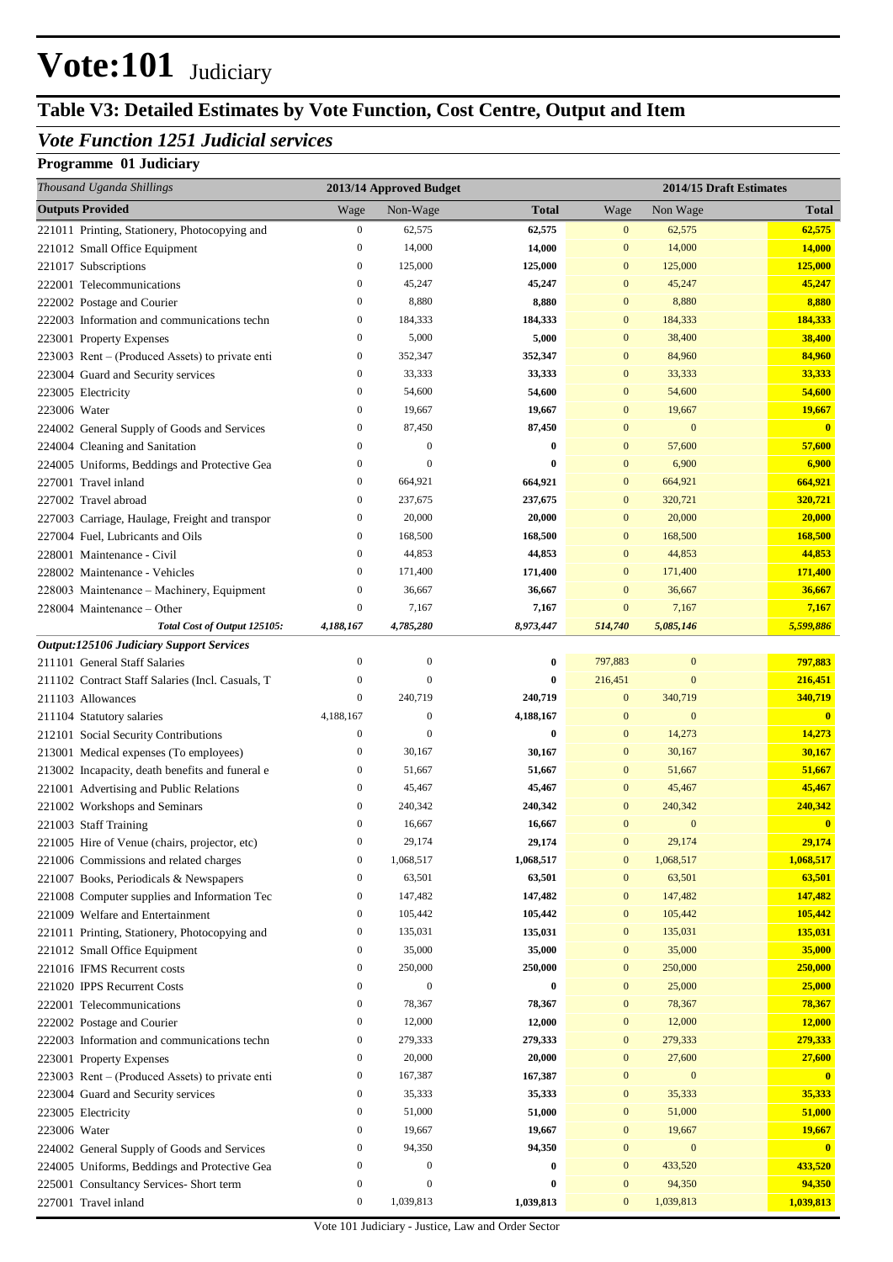## **Table V3: Detailed Estimates by Vote Function, Cost Centre, Output and Item**

### *Vote Function 1251 Judicial services*

| Thousand Uganda Shillings                                                         |                  | 2013/14 Approved Budget |              |                  |                  | 2014/15 Draft Estimates |
|-----------------------------------------------------------------------------------|------------------|-------------------------|--------------|------------------|------------------|-------------------------|
| <b>Outputs Provided</b>                                                           | Wage             | Non-Wage                | <b>Total</b> | Wage             | Non Wage         | Total                   |
| 221011 Printing, Stationery, Photocopying and                                     | $\boldsymbol{0}$ | 62,575                  | 62,575       | $\boldsymbol{0}$ | 62,575           | 62,575                  |
| 221012 Small Office Equipment                                                     | $\boldsymbol{0}$ | 14,000                  | 14,000       | $\mathbf{0}$     | 14,000           | 14,000                  |
| 221017 Subscriptions                                                              | $\boldsymbol{0}$ | 125,000                 | 125,000      | $\mathbf{0}$     | 125,000          | 125,000                 |
| 222001 Telecommunications                                                         | $\boldsymbol{0}$ | 45,247                  | 45,247       | $\mathbf{0}$     | 45,247           | 45,247                  |
| 222002 Postage and Courier                                                        | $\mathbf{0}$     | 8,880                   | 8,880        | $\mathbf{0}$     | 8,880            | 8,880                   |
| 222003 Information and communications techn                                       | $\boldsymbol{0}$ | 184,333                 | 184,333      | $\mathbf{0}$     | 184,333          | 184,333                 |
| 223001 Property Expenses                                                          | $\mathbf{0}$     | 5,000                   | 5,000        | $\mathbf{0}$     | 38,400           | 38,400                  |
| 223003 Rent – (Produced Assets) to private enti                                   | $\boldsymbol{0}$ | 352,347                 | 352,347      | $\mathbf{0}$     | 84,960           | 84,960                  |
| 223004 Guard and Security services                                                | $\boldsymbol{0}$ | 33,333                  | 33,333       | $\mathbf{0}$     | 33,333           | 33,333                  |
| 223005 Electricity                                                                | $\boldsymbol{0}$ | 54,600                  | 54,600       | $\mathbf{0}$     | 54,600           | 54,600                  |
| 223006 Water                                                                      | $\mathbf{0}$     | 19,667                  | 19,667       | $\mathbf{0}$     | 19,667           | 19,667                  |
| 224002 General Supply of Goods and Services                                       | $\boldsymbol{0}$ | 87,450                  | 87,450       | $\mathbf{0}$     | $\mathbf{0}$     | $\mathbf{0}$            |
| 224004 Cleaning and Sanitation                                                    | $\boldsymbol{0}$ | $\boldsymbol{0}$        | $\bf{0}$     | $\mathbf{0}$     | 57,600           | 57,600                  |
| 224005 Uniforms, Beddings and Protective Gea                                      | $\mathbf{0}$     | $\overline{0}$          | $\bf{0}$     | $\mathbf{0}$     | 6,900            | 6,900                   |
| 227001 Travel inland                                                              | $\boldsymbol{0}$ | 664,921                 | 664,921      | $\mathbf{0}$     | 664,921          | 664,921                 |
| 227002 Travel abroad                                                              | $\boldsymbol{0}$ | 237,675                 | 237,675      | $\mathbf{0}$     | 320,721          | 320,721                 |
| 227003 Carriage, Haulage, Freight and transpor                                    | $\boldsymbol{0}$ | 20,000                  | 20,000       | $\mathbf{0}$     | 20,000           | 20,000                  |
| 227004 Fuel, Lubricants and Oils                                                  | $\boldsymbol{0}$ | 168,500                 | 168,500      | $\mathbf{0}$     | 168,500          | 168,500                 |
| 228001 Maintenance - Civil                                                        | $\boldsymbol{0}$ | 44,853                  | 44,853       | $\mathbf{0}$     | 44,853           | 44,853                  |
| 228002 Maintenance - Vehicles                                                     | $\boldsymbol{0}$ | 171,400                 | 171,400      | $\mathbf{0}$     | 171,400          | 171,400                 |
| 228003 Maintenance - Machinery, Equipment                                         | $\boldsymbol{0}$ | 36,667                  | 36,667       | $\mathbf{0}$     | 36,667           | 36,667                  |
| 228004 Maintenance – Other                                                        | $\mathbf{0}$     | 7,167                   | 7,167        | $\mathbf{0}$     | 7,167            | 7,167                   |
| Total Cost of Output 125105:                                                      | 4,188,167        | 4,785,280               | 8,973,447    | 514,740          | 5,085,146        | 5,599,886               |
| <b>Output:125106 Judiciary Support Services</b>                                   | $\mathbf{0}$     | $\mathbf{0}$            | $\bf{0}$     | 797,883          | $\boldsymbol{0}$ | 797,883                 |
| 211101 General Staff Salaries<br>211102 Contract Staff Salaries (Incl. Casuals, T | $\boldsymbol{0}$ | $\overline{0}$          | $\bf{0}$     | 216,451          | $\mathbf{0}$     | 216,451                 |
| 211103 Allowances                                                                 | $\boldsymbol{0}$ | 240,719                 | 240,719      | $\mathbf{0}$     | 340,719          | 340,719                 |
| 211104 Statutory salaries                                                         | 4,188,167        | $\boldsymbol{0}$        | 4,188,167    | $\mathbf{0}$     | $\mathbf{0}$     | $\overline{\mathbf{0}}$ |
| 212101 Social Security Contributions                                              | $\boldsymbol{0}$ | $\overline{0}$          | $\bf{0}$     | $\mathbf{0}$     | 14,273           | 14,273                  |
| 213001 Medical expenses (To employees)                                            | $\boldsymbol{0}$ | 30,167                  | 30,167       | $\mathbf{0}$     | 30,167           | 30,167                  |
| 213002 Incapacity, death benefits and funeral e                                   | $\boldsymbol{0}$ | 51,667                  | 51,667       | $\mathbf{0}$     | 51,667           | 51,667                  |
| 221001 Advertising and Public Relations                                           | $\mathbf{0}$     | 45,467                  | 45,467       | $\mathbf{0}$     | 45,467           | 45,467                  |
| 221002 Workshops and Seminars                                                     | $\mathbf{0}$     | 240,342                 | 240,342      | $\mathbf{0}$     | 240,342          | 240,342                 |
| 221003 Staff Training                                                             | $\boldsymbol{0}$ | 16,667                  | 16,667       | $\mathbf{0}$     | $\mathbf{0}$     | $\bf{0}$                |
| 221005 Hire of Venue (chairs, projector, etc)                                     | $\boldsymbol{0}$ | 29,174                  | 29,174       | $\Omega$         | 29,174           | 29,174                  |
| 221006 Commissions and related charges                                            | $\boldsymbol{0}$ | 1,068,517               | 1,068,517    | $\mathbf{0}$     | 1,068,517        | 1,068,517               |
| 221007 Books, Periodicals & Newspapers                                            | $\boldsymbol{0}$ | 63,501                  | 63,501       | $\mathbf{0}$     | 63,501           | 63,501                  |
| 221008 Computer supplies and Information Tec                                      | $\boldsymbol{0}$ | 147,482                 | 147,482      | $\mathbf{0}$     | 147,482          | 147,482                 |
| 221009 Welfare and Entertainment                                                  | $\boldsymbol{0}$ | 105,442                 | 105,442      | $\mathbf{0}$     | 105,442          | 105,442                 |
| 221011 Printing, Stationery, Photocopying and                                     | $\boldsymbol{0}$ | 135,031                 | 135,031      | $\mathbf{0}$     | 135,031          | 135,031                 |
| 221012 Small Office Equipment                                                     | 0                | 35,000                  | 35,000       | $\mathbf{0}$     | 35,000           | 35,000                  |
| 221016 IFMS Recurrent costs                                                       | $\boldsymbol{0}$ | 250,000                 | 250,000      | $\mathbf{0}$     | 250,000          | 250,000                 |
| 221020 IPPS Recurrent Costs                                                       | $\boldsymbol{0}$ | $\mathbf{0}$            | $\bf{0}$     | $\mathbf{0}$     | 25,000           | 25,000                  |
| 222001 Telecommunications                                                         | 0                | 78,367                  | 78,367       | $\mathbf{0}$     | 78,367           | 78,367                  |
| 222002 Postage and Courier                                                        | $\boldsymbol{0}$ | 12,000                  | 12,000       | $\mathbf{0}$     | 12,000           | <b>12,000</b>           |
| 222003 Information and communications techn                                       | $\boldsymbol{0}$ | 279,333                 | 279,333      | $\mathbf{0}$     | 279,333          | 279,333                 |
| 223001 Property Expenses                                                          | $\boldsymbol{0}$ | 20,000                  | 20,000       | $\mathbf{0}$     | 27,600           | 27,600                  |
| 223003 Rent – (Produced Assets) to private enti                                   | $\boldsymbol{0}$ | 167,387                 | 167,387      | $\mathbf{0}$     | $\bf{0}$         | $\mathbf{0}$            |
| 223004 Guard and Security services                                                | $\boldsymbol{0}$ | 35,333                  | 35,333       | $\mathbf{0}$     | 35,333           | 35,333                  |
| 223005 Electricity                                                                | $\boldsymbol{0}$ | 51,000                  | 51,000       | $\mathbf{0}$     | 51,000           | 51,000                  |
| 223006 Water                                                                      | $\boldsymbol{0}$ | 19,667                  | 19,667       | $\mathbf{0}$     | 19,667           | 19,667                  |
| 224002 General Supply of Goods and Services                                       | $\boldsymbol{0}$ | 94,350                  | 94,350       | $\mathbf{0}$     | $\boldsymbol{0}$ | $\mathbf{0}$            |
| 224005 Uniforms, Beddings and Protective Gea                                      | $\boldsymbol{0}$ | $\mathbf{0}$            | $\bf{0}$     | $\mathbf{0}$     | 433,520          | 433,520                 |
| 225001 Consultancy Services- Short term                                           | $\boldsymbol{0}$ | $\boldsymbol{0}$        | $\bf{0}$     | $\mathbf{0}$     | 94,350           | 94,350                  |
| 227001 Travel inland                                                              | 0                | 1,039,813               | 1,039,813    | $\mathbf{0}$     | 1,039,813        | 1,039,813               |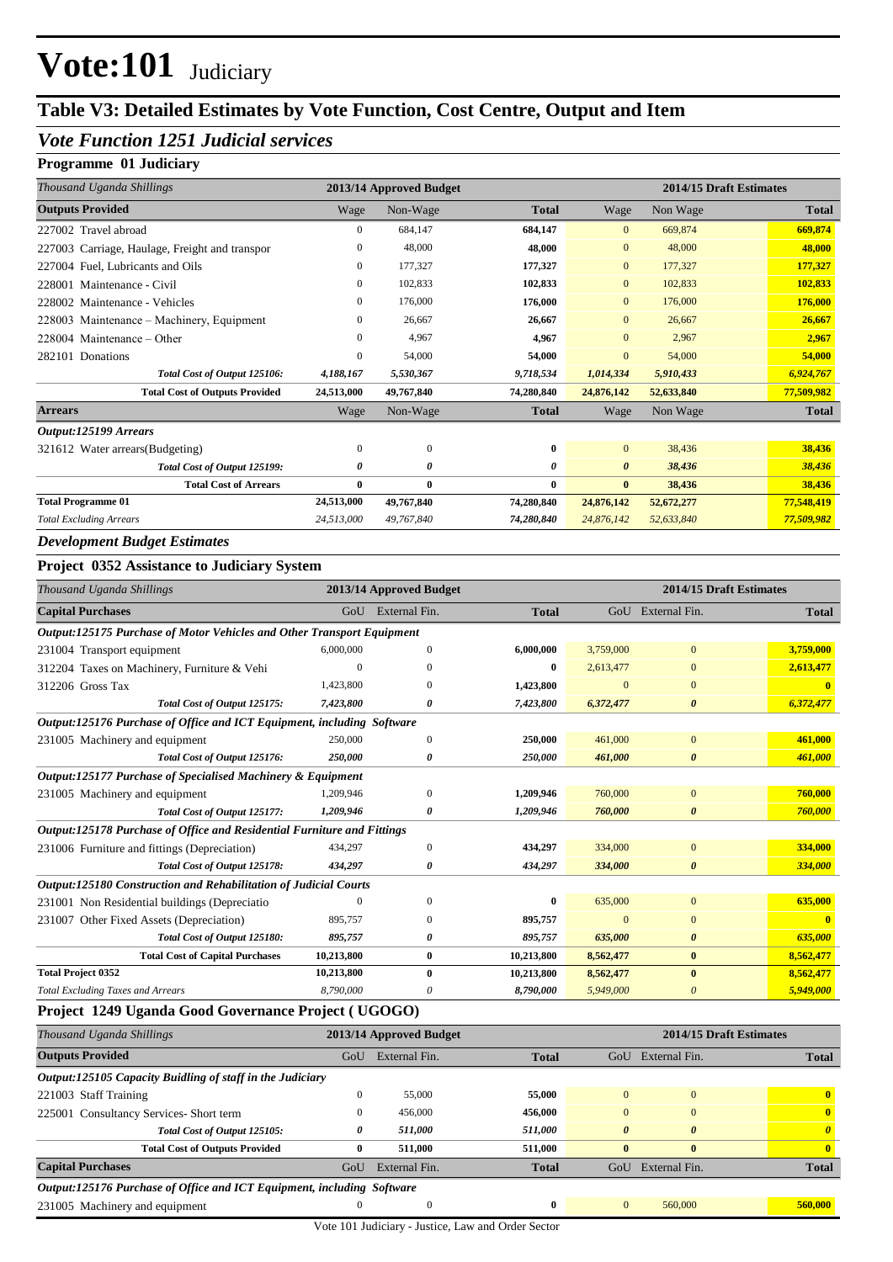## **Table V3: Detailed Estimates by Vote Function, Cost Centre, Output and Item**

### *Vote Function 1251 Judicial services*

#### **Programme 01 Judiciary**

| Thousand Uganda Shillings                      |              | 2013/14 Approved Budget |              |                |            | 2014/15 Draft Estimates |
|------------------------------------------------|--------------|-------------------------|--------------|----------------|------------|-------------------------|
| <b>Outputs Provided</b>                        | Wage         | Non-Wage                | <b>Total</b> | Wage           | Non Wage   | <b>Total</b>            |
| 227002 Travel abroad                           | $\mathbf{0}$ | 684,147                 | 684,147      | $\overline{0}$ | 669,874    | 669,874                 |
| 227003 Carriage, Haulage, Freight and transpor | $\mathbf{0}$ | 48,000                  | 48,000       | $\overline{0}$ | 48,000     | 48,000                  |
| 227004 Fuel, Lubricants and Oils               | $\Omega$     | 177,327                 | 177,327      | $\overline{0}$ | 177,327    | 177,327                 |
| Maintenance - Civil<br>228001                  | $\mathbf{0}$ | 102,833                 | 102,833      | $\mathbf{0}$   | 102,833    | 102,833                 |
| 228002 Maintenance - Vehicles                  | $\mathbf{0}$ | 176,000                 | 176,000      | $\overline{0}$ | 176,000    | 176,000                 |
| 228003 Maintenance – Machinery, Equipment      | 0            | 26,667                  | 26,667       | $\Omega$       | 26,667     | 26,667                  |
| $228004$ Maintenance – Other                   | $\mathbf{0}$ | 4,967                   | 4,967        | $\overline{0}$ | 2,967      | 2,967                   |
| 282101 Donations                               | $\mathbf{0}$ | 54,000                  | 54,000       | $\overline{0}$ | 54,000     | 54,000                  |
| Total Cost of Output 125106:                   | 4,188,167    | 5,530,367               | 9,718,534    | 1,014,334      | 5,910,433  | 6,924,767               |
| <b>Total Cost of Outputs Provided</b>          | 24,513,000   | 49,767,840              | 74,280,840   | 24,876,142     | 52,633,840 | 77,509,982              |
| <b>Arrears</b>                                 | Wage         | Non-Wage                | <b>Total</b> | Wage           | Non Wage   | <b>Total</b>            |
| Output:125199 Arrears                          |              |                         |              |                |            |                         |
| 321612 Water arrears (Budgeting)               | $\mathbf{0}$ | $\theta$                | 0            | $\overline{0}$ | 38,436     | 38,436                  |
| Total Cost of Output 125199:                   | 0            | $\boldsymbol{\theta}$   | 0            | 0              | 38,436     | 38,436                  |
| <b>Total Cost of Arrears</b>                   | 0            | $\mathbf{0}$            | 0            | $\mathbf{0}$   | 38,436     | 38,436                  |
| <b>Total Programme 01</b>                      | 24,513,000   | 49,767,840              | 74,280,840   | 24,876,142     | 52,672,277 | 77,548,419              |
| <b>Total Excluding Arrears</b>                 | 24,513,000   | 49,767,840              | 74,280,840   | 24,876,142     | 52,633,840 | 77,509,982              |

#### *Development Budget Estimates*

#### **Project 0352 Assistance to Judiciary System**

| Thousand Uganda Shillings                                               |            | 2013/14 Approved Budget |              |           | 2014/15 Draft Estimates |              |
|-------------------------------------------------------------------------|------------|-------------------------|--------------|-----------|-------------------------|--------------|
| <b>Capital Purchases</b>                                                | GoU        | External Fin.           | <b>Total</b> |           | GoU External Fin.       | <b>Total</b> |
| Output:125175 Purchase of Motor Vehicles and Other Transport Equipment  |            |                         |              |           |                         |              |
| 231004 Transport equipment                                              | 6,000,000  | $\Omega$                | 6,000,000    | 3,759,000 | $\overline{0}$          | 3,759,000    |
| 312204 Taxes on Machinery, Furniture & Vehi                             | $\Omega$   | 0                       | 0            | 2,613,477 | $\Omega$                | 2,613,477    |
| 312206 Gross Tax                                                        | 1,423,800  |                         | 1,423,800    | $\Omega$  | $\Omega$                |              |
| Total Cost of Output 125175:                                            | 7,423,800  | 0                       | 7,423,800    | 6,372,477 | $\boldsymbol{\theta}$   | 6,372,477    |
| Output:125176 Purchase of Office and ICT Equipment, including Software  |            |                         |              |           |                         |              |
| 231005 Machinery and equipment                                          | 250,000    | $\Omega$                | 250,000      | 461,000   | $\overline{0}$          | 461,000      |
| Total Cost of Output 125176:                                            | 250,000    | 0                       | 250,000      | 461,000   | 0                       | 461,000      |
| Output:125177 Purchase of Specialised Machinery & Equipment             |            |                         |              |           |                         |              |
| 231005 Machinery and equipment                                          | 1,209,946  | $\Omega$                | 1,209,946    | 760,000   | $\mathbf{0}$            | 760,000      |
| Total Cost of Output 125177:                                            | 1,209,946  | 0                       | 1,209,946    | 760,000   | 0                       | 760,000      |
| Output:125178 Purchase of Office and Residential Furniture and Fittings |            |                         |              |           |                         |              |
| 231006 Furniture and fittings (Depreciation)                            | 434,297    | $\mathbf{0}$            | 434,297      | 334,000   | $\mathbf{0}$            | 334,000      |
| Total Cost of Output 125178:                                            | 434,297    | 0                       | 434,297      | 334,000   | $\boldsymbol{\theta}$   | 334,000      |
| Output:125180 Construction and Rehabilitation of Judicial Courts        |            |                         |              |           |                         |              |
| 231001 Non Residential buildings (Depreciatio                           | $\Omega$   | $\Omega$                | 0            | 635,000   | $\Omega$                | 635,000      |
| 231007 Other Fixed Assets (Depreciation)                                | 895,757    | 0                       | 895,757      | $\Omega$  | $\mathbf{0}$            |              |
| Total Cost of Output 125180:                                            | 895,757    | ß                       | 895,757      | 635,000   | $\boldsymbol{\theta}$   | 635,000      |
| <b>Total Cost of Capital Purchases</b>                                  | 10,213,800 | $\bf{0}$                | 10,213,800   | 8,562,477 | $\bf{0}$                | 8,562,477    |
| <b>Total Project 0352</b>                                               | 10,213,800 | $\bf{0}$                | 10,213,800   | 8,562,477 | $\mathbf{0}$            | 8,562,477    |
| <b>Total Excluding Taxes and Arrears</b>                                | 8,790,000  | 0                       | 8,790,000    | 5,949,000 | 0                       | 5,949,000    |

### **Project 1249 Uganda Good Governance Project ( UGOGO)**

| Thousand Uganda Shillings                                              |              | 2013/14 Approved Budget |              |              |                       | 2014/15 Draft Estimates |
|------------------------------------------------------------------------|--------------|-------------------------|--------------|--------------|-----------------------|-------------------------|
| <b>Outputs Provided</b>                                                | GoU          | External Fin.           | <b>Total</b> | GoU          | External Fin.         | <b>Total</b>            |
| Output:125105 Capacity Buidling of staff in the Judiciary              |              |                         |              |              |                       |                         |
| 221003 Staff Training                                                  | $\mathbf{0}$ | 55,000                  | 55,000       | $\Omega$     | $\mathbf{0}$          | $\mathbf{0}$            |
| 225001 Consultancy Services-Short term                                 | $\mathbf{0}$ | 456,000                 | 456,000      | $\Omega$     | $\Omega$              | $\mathbf{0}$            |
| Total Cost of Output 125105:                                           | 0            | 511.000                 | 511,000      | 0            | $\boldsymbol{\theta}$ | $\boldsymbol{\theta}$   |
| <b>Total Cost of Outputs Provided</b>                                  | $\bf{0}$     | 511.000                 | 511.000      | $\mathbf{0}$ | $\mathbf{0}$          | $\mathbf{0}$            |
| <b>Capital Purchases</b>                                               | GoU          | External Fin.           | <b>Total</b> | GoU          | External Fin.         | <b>Total</b>            |
| Output:125176 Purchase of Office and ICT Equipment, including Software |              |                         |              |              |                       |                         |
| 231005 Machinery and equipment                                         | $\Omega$     | $\Omega$                | $\mathbf{0}$ | $\Omega$     | 560,000               | 560,000                 |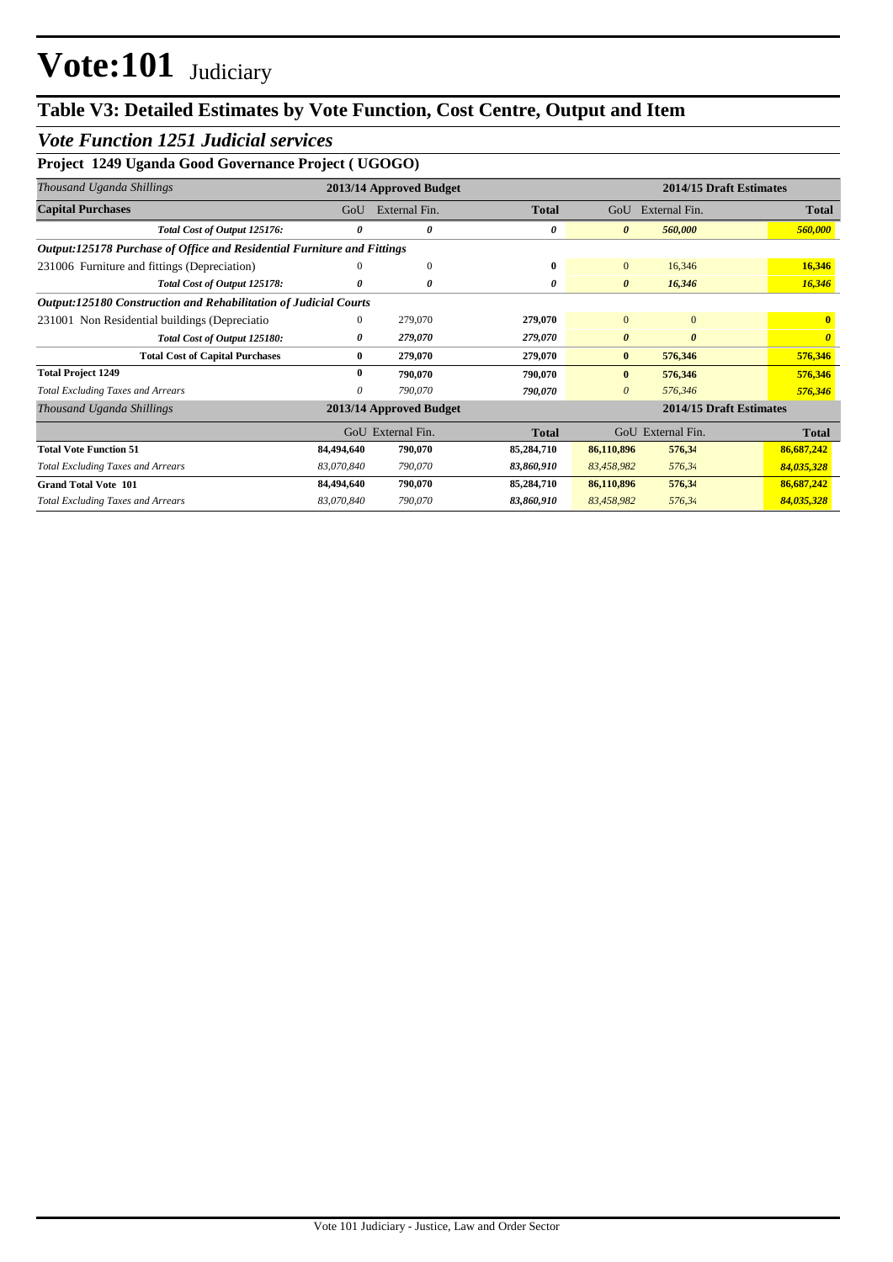## **Table V3: Detailed Estimates by Vote Function, Cost Centre, Output and Item**

### *Vote Function 1251 Judicial services*

### **Project 1249 Uganda Good Governance Project ( UGOGO)**

| Thousand Uganda Shillings                                               |              | 2013/14 Approved Budget |              |                       | 2014/15 Draft Estimates |              |
|-------------------------------------------------------------------------|--------------|-------------------------|--------------|-----------------------|-------------------------|--------------|
| <b>Capital Purchases</b>                                                | GoU          | External Fin.           | <b>Total</b> | GoU                   | External Fin.           | <b>Total</b> |
| Total Cost of Output 125176:                                            | $\theta$     | 0                       | 0            | $\boldsymbol{\theta}$ | 560,000                 | 560,000      |
| Output:125178 Purchase of Office and Residential Furniture and Fittings |              |                         |              |                       |                         |              |
| 231006 Furniture and fittings (Depreciation)                            |              | $\mathbf{0}$            | $\bf{0}$     | $\mathbf{0}$          | 16,346                  | 16,346       |
| Total Cost of Output 125178:                                            | 0            | 0                       | 0            | $\boldsymbol{\theta}$ | 16,346                  | 16,346       |
| Output:125180 Construction and Rehabilitation of Judicial Courts        |              |                         |              |                       |                         |              |
| 231001 Non Residential buildings (Depreciatio                           | $\mathbf{0}$ | 279,070                 | 279,070      | $\Omega$              | $\Omega$                | $\mathbf{0}$ |
| Total Cost of Output 125180:                                            | 0            | 279,070                 | 279,070      | $\boldsymbol{\theta}$ | $\boldsymbol{\theta}$   |              |
| <b>Total Cost of Capital Purchases</b>                                  | $\bf{0}$     | 279,070                 | 279,070      | $\bf{0}$              | 576,346                 | 576,346      |
| <b>Total Project 1249</b>                                               | $\bf{0}$     | 790,070                 | 790,070      | $\bf{0}$              | 576,346                 | 576,346      |
| <b>Total Excluding Taxes and Arrears</b>                                | 0            | 790,070                 | 790,070      | $\theta$              | 576,346                 | 576,346      |
| Thousand Uganda Shillings                                               |              | 2013/14 Approved Budget |              |                       | 2014/15 Draft Estimates |              |
|                                                                         |              | GoU External Fin.       | <b>Total</b> |                       | GoU External Fin.       | <b>Total</b> |
| <b>Total Vote Function 51</b>                                           | 84,494,640   | 790,070                 | 85,284,710   | 86,110,896            | 576,34                  | 86,687,242   |
| <b>Total Excluding Taxes and Arrears</b>                                | 83,070,840   | 790,070                 | 83,860,910   | 83,458,982            | 576,34                  | 84,035,328   |
| <b>Grand Total Vote 101</b>                                             | 84,494,640   | 790,070                 | 85,284,710   | 86,110,896            | 576,34                  | 86,687,242   |
| <b>Total Excluding Taxes and Arrears</b>                                | 83,070,840   | 790,070                 | 83,860,910   | 83,458,982            | 576,34                  | 84,035,328   |